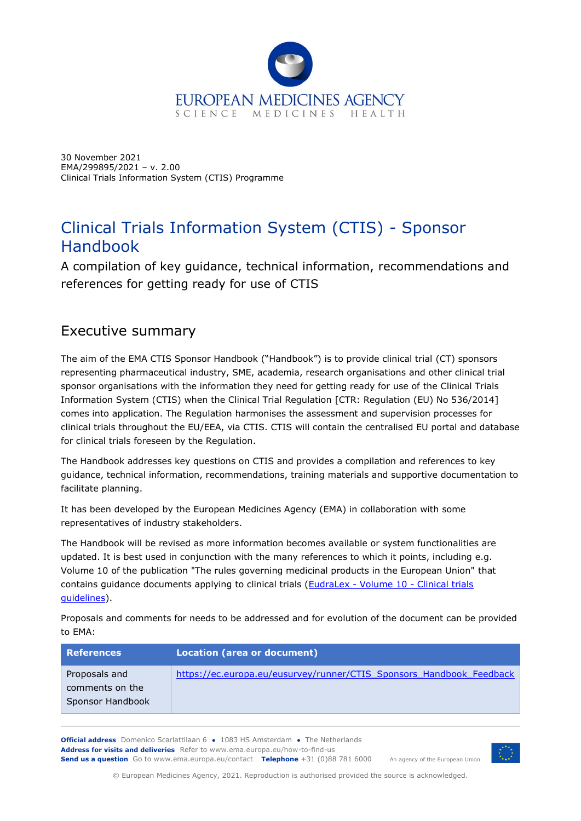

30 November 2021 EMA/299895/2021 – v. 2.00 Clinical Trials Information System (CTIS) Programme

# Clinical Trials Information System (CTIS) - Sponsor Handbook

A compilation of key guidance, technical information, recommendations and references for getting ready for use of CTIS

# Executive summary

The aim of the EMA CTIS Sponsor Handbook ("Handbook") is to provide clinical trial (CT) sponsors representing pharmaceutical industry, SME, academia, research organisations and other clinical trial sponsor organisations with the information they need for getting ready for use of the Clinical Trials Information System (CTIS) when the Clinical Trial Regulation [CTR: Regulation (EU) No 536/2014] comes into application. The Regulation harmonises the assessment and supervision processes for clinical trials throughout the EU/EEA, via CTIS. CTIS will contain the centralised EU portal and database for clinical trials foreseen by the Regulation.

The Handbook addresses key questions on CTIS and provides a compilation and references to key guidance, technical information, recommendations, training materials and supportive documentation to facilitate planning.

It has been developed by the European Medicines Agency (EMA) in collaboration with some representatives of industry stakeholders.

The Handbook will be revised as more information becomes available or system functionalities are updated. It is best used in conjunction with the many references to which it points, including e.g. Volume 10 of the publication "The rules governing medicinal products in the European Union" that contains guidance documents applying to clinical trials (EudraLex - Volume 10 - [Clinical trials](https://ec.europa.eu/health/documents/eudralex/vol-10_en#fragment1)  [guidelines\)](https://ec.europa.eu/health/documents/eudralex/vol-10_en#fragment1).

Proposals and comments for needs to be addressed and for evolution of the document can be provided to EMA:

| <b>References</b>                                    | Location (area or document)                                          |
|------------------------------------------------------|----------------------------------------------------------------------|
| Proposals and<br>comments on the<br>Sponsor Handbook | https://ec.europa.eu/eusurvey/runner/CTIS Sponsors Handbook Feedback |

**Official address** Domenico Scarlattilaan 6 **●** 1083 HS Amsterdam **●** The Netherlands An agency of the European Union **Address for visits and deliveries** Refer to www.ema.europa.eu/how-to-find-us **Send us a question** Go to www.ema.europa.eu/contact **Telephone** +31 (0)88 781 6000



© European Medicines Agency, 2021. Reproduction is authorised provided the source is acknowledged.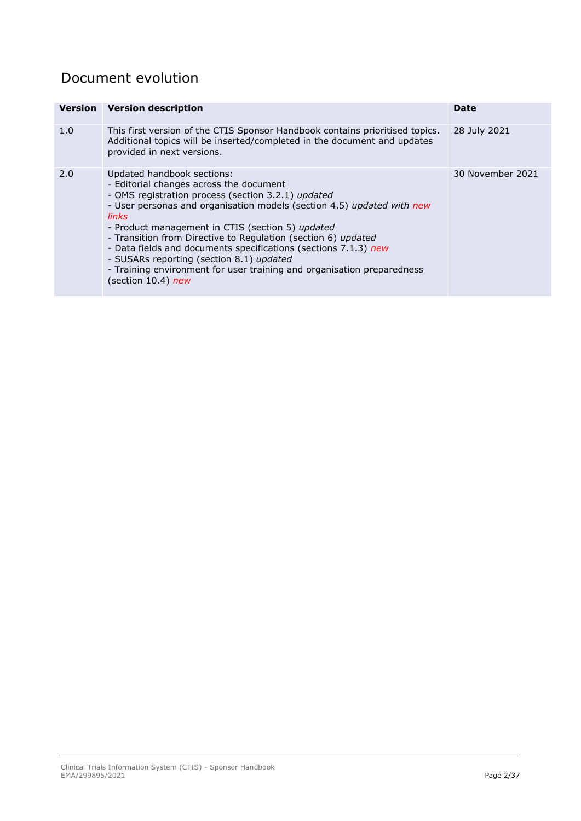# Document evolution

|     | <b>Version</b> Version description                                                                                                                                                                                                                                                                                                                                                                                                                                                                                                                    | <b>Date</b>      |
|-----|-------------------------------------------------------------------------------------------------------------------------------------------------------------------------------------------------------------------------------------------------------------------------------------------------------------------------------------------------------------------------------------------------------------------------------------------------------------------------------------------------------------------------------------------------------|------------------|
| 1.0 | This first version of the CTIS Sponsor Handbook contains prioritised topics.<br>Additional topics will be inserted/completed in the document and updates<br>provided in next versions.                                                                                                                                                                                                                                                                                                                                                                | 28 July 2021     |
| 2.0 | Updated handbook sections:<br>- Editorial changes across the document<br>- OMS registration process (section 3.2.1) updated<br>- User personas and organisation models (section 4.5) updated with new<br>links<br>- Product management in CTIS (section 5) updated<br>- Transition from Directive to Regulation (section 6) updated<br>- Data fields and documents specifications (sections 7.1.3) new<br>- SUSARs reporting (section 8.1) updated<br>- Training environment for user training and organisation preparedness<br>(section $10.4$ ) new | 30 November 2021 |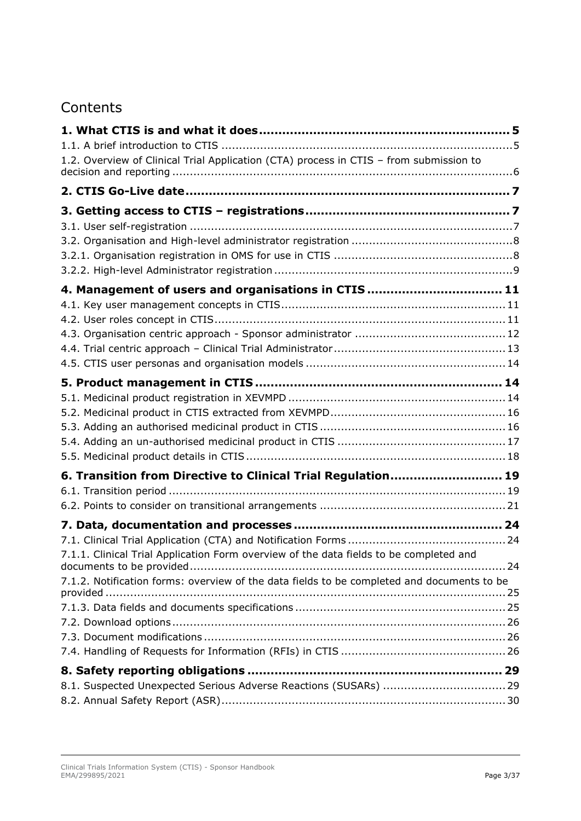# **Contents**

| 1.2. Overview of Clinical Trial Application (CTA) process in CTIS - from submission to     |  |
|--------------------------------------------------------------------------------------------|--|
|                                                                                            |  |
|                                                                                            |  |
|                                                                                            |  |
|                                                                                            |  |
|                                                                                            |  |
|                                                                                            |  |
| 4. Management of users and organisations in CTIS  11                                       |  |
|                                                                                            |  |
|                                                                                            |  |
|                                                                                            |  |
|                                                                                            |  |
|                                                                                            |  |
|                                                                                            |  |
|                                                                                            |  |
|                                                                                            |  |
|                                                                                            |  |
|                                                                                            |  |
|                                                                                            |  |
| 6. Transition from Directive to Clinical Trial Regulation 19                               |  |
|                                                                                            |  |
|                                                                                            |  |
|                                                                                            |  |
|                                                                                            |  |
| 7.1.1. Clinical Trial Application Form overview of the data fields to be completed and     |  |
| 7.1.2. Notification forms: overview of the data fields to be completed and documents to be |  |
|                                                                                            |  |
|                                                                                            |  |
|                                                                                            |  |
|                                                                                            |  |
|                                                                                            |  |
|                                                                                            |  |
|                                                                                            |  |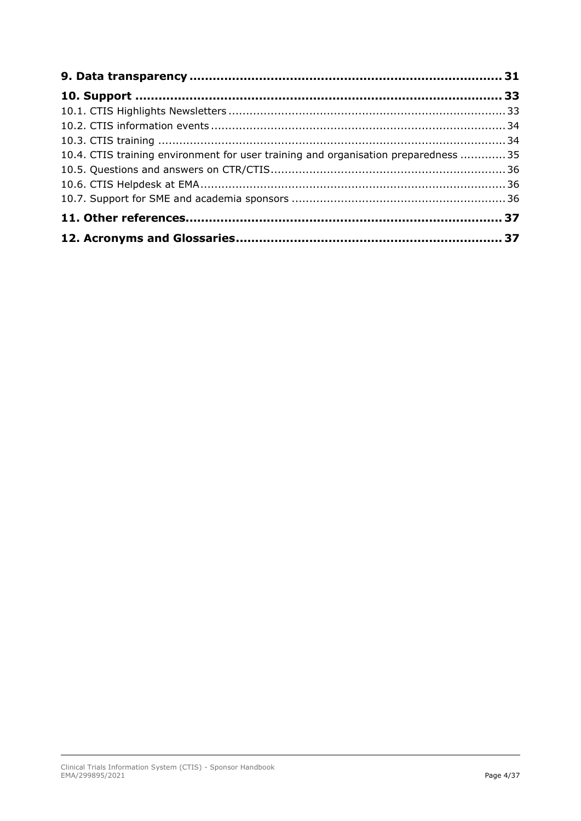| 10.4. CTIS training environment for user training and organisation preparedness  35 |  |
|-------------------------------------------------------------------------------------|--|
|                                                                                     |  |
|                                                                                     |  |
|                                                                                     |  |
|                                                                                     |  |
|                                                                                     |  |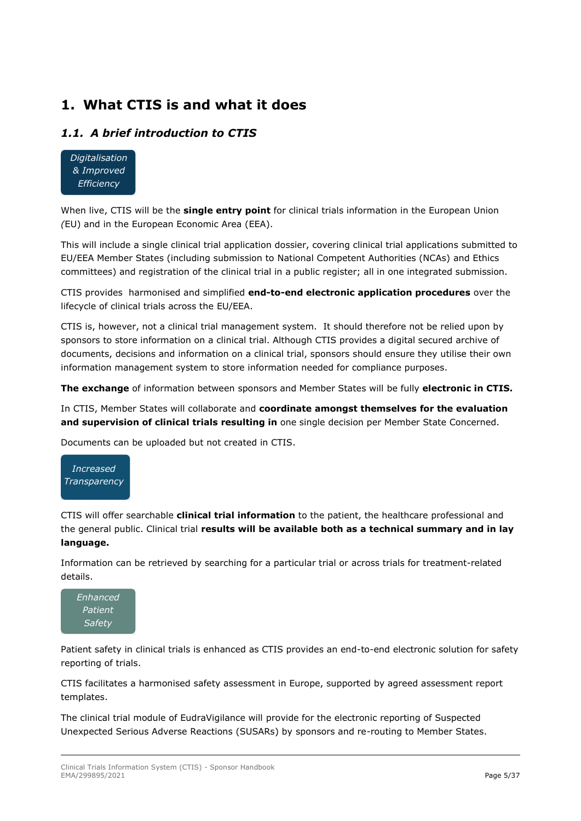# <span id="page-4-0"></span>**1. What CTIS is and what it does**

# <span id="page-4-1"></span>*1.1. A brief introduction to CTIS*



When live, CTIS will be the **single entry point** for clinical trials information in the European Union *(*EU) and in the European Economic Area (EEA).

This will include a single clinical trial application dossier, covering clinical trial applications submitted to EU/EEA Member States (including submission to National Competent Authorities (NCAs) and Ethics committees) and registration of the clinical trial in a public register; all in one integrated submission.

CTIS provides harmonised and simplified **end-to-end electronic application procedures** over the lifecycle of clinical trials across the EU/EEA.

CTIS is, however, not a clinical trial management system. It should therefore not be relied upon by sponsors to store information on a clinical trial. Although CTIS provides a digital secured archive of documents, decisions and information on a clinical trial, sponsors should ensure they utilise their own information management system to store information needed for compliance purposes.

**The exchange** of information between sponsors and Member States will be fully **electronic in CTIS.**

In CTIS, Member States will collaborate and **coordinate amongst themselves for the evaluation and supervision of clinical trials resulting in** one single decision per Member State Concerned.

Documents can be uploaded but not created in CTIS.



CTIS will offer searchable **clinical trial information** to the patient, the healthcare professional and the general public. Clinical trial **results will be available both as a technical summary and in lay language.**

Information can be retrieved by searching for a particular trial or across trials for treatment-related details.



Patient safety in clinical trials is enhanced as CTIS provides an end-to-end electronic solution for safety reporting of trials.

CTIS facilitates a harmonised safety assessment in Europe, supported by agreed assessment report templates.

The clinical trial module of EudraVigilance will provide for the electronic reporting of Suspected Unexpected Serious Adverse Reactions (SUSARs) by sponsors and re-routing to Member States.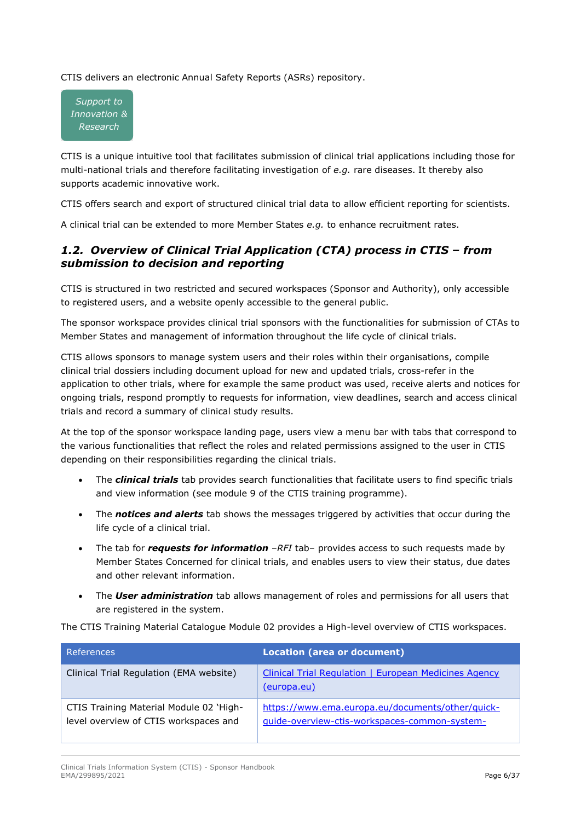CTIS delivers an electronic Annual Safety Reports (ASRs) repository.



CTIS is a unique intuitive tool that facilitates submission of clinical trial applications including those for multi-national trials and therefore facilitating investigation of *e.g.* rare diseases. It thereby also supports academic innovative work.

CTIS offers search and export of structured clinical trial data to allow efficient reporting for scientists.

A clinical trial can be extended to more Member States *e.g.* to enhance recruitment rates.

### <span id="page-5-0"></span>*1.2. Overview of Clinical Trial Application (CTA) process in CTIS – from submission to decision and reporting*

CTIS is structured in two restricted and secured workspaces (Sponsor and Authority), only accessible to registered users, and a website openly accessible to the general public.

The sponsor workspace provides clinical trial sponsors with the functionalities for submission of CTAs to Member States and management of information throughout the life cycle of clinical trials.

CTIS allows sponsors to manage system users and their roles within their organisations, compile clinical trial dossiers including document upload for new and updated trials, cross-refer in the application to other trials, where for example the same product was used, receive alerts and notices for ongoing trials, respond promptly to requests for information, view deadlines, search and access clinical trials and record a summary of clinical study results.

At the top of the sponsor workspace landing page, users view a menu bar with tabs that correspond to the various functionalities that reflect the roles and related permissions assigned to the user in CTIS depending on their responsibilities regarding the clinical trials.

- The *clinical trials* tab provides search functionalities that facilitate users to find specific trials and view information (see module 9 of the CTIS training programme).
- The *notices and alerts* tab shows the messages triggered by activities that occur during the life cycle of a clinical trial.
- The tab for *requests for information* –*RFI* tab– provides access to such requests made by Member States Concerned for clinical trials, and enables users to view their status, due dates and other relevant information.
- The *User administration* tab allows management of roles and permissions for all users that are registered in the system.

The CTIS Training Material Catalogue Module 02 provides a High-level overview of CTIS workspaces.

| <b>References</b>                                                                | Location (area or document)                                                                       |
|----------------------------------------------------------------------------------|---------------------------------------------------------------------------------------------------|
| Clinical Trial Regulation (EMA website)                                          | <b>Clinical Trial Regulation   European Medicines Agency</b><br>(europa.eu)                       |
| CTIS Training Material Module 02 'High-<br>level overview of CTIS workspaces and | https://www.ema.europa.eu/documents/other/quick-<br>guide-overview-ctis-workspaces-common-system- |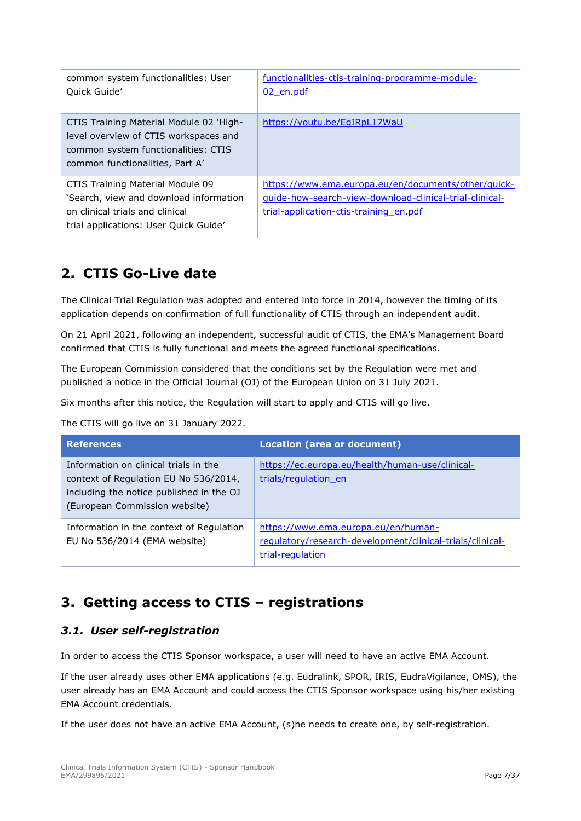| common system functionalities: User<br>Quick Guide'                                                                                                        | functionalities-ctis-training-programme-module-<br>02 en.pdf                                                                                             |
|------------------------------------------------------------------------------------------------------------------------------------------------------------|----------------------------------------------------------------------------------------------------------------------------------------------------------|
| CTIS Training Material Module 02 'High-<br>level overview of CTIS workspaces and<br>common system functionalities: CTIS<br>common functionalities, Part A' | https://youtu.be/EqIRpL17WaU                                                                                                                             |
| CTIS Training Material Module 09<br>'Search, view and download information<br>on clinical trials and clinical<br>trial applications: User Quick Guide'     | https://www.ema.europa.eu/en/documents/other/quick-<br>guide-how-search-view-download-clinical-trial-clinical-<br>trial-application-ctis-training en.pdf |

# <span id="page-6-0"></span>**2. CTIS Go-Live date**

The Clinical Trial Regulation was adopted and entered into force in 2014, however the timing of its application depends on confirmation of full functionality of CTIS through an independent audit.

On 21 April 2021, following an independent, successful audit of CTIS, the EMA's Management Board confirmed that CTIS is fully functional and meets the agreed functional specifications.

The European Commission considered that the conditions set by the Regulation were met and published a notice in the Official Journal (OJ) of the European Union on 31 July 2021.

Six months after this notice, the Regulation will start to apply and CTIS will go live.

The CTIS will go live on 31 January 2022.

| <b>References</b>                                                                                                                                           | <b>Location (area or document)</b>                                                                                   |
|-------------------------------------------------------------------------------------------------------------------------------------------------------------|----------------------------------------------------------------------------------------------------------------------|
| Information on clinical trials in the<br>context of Regulation EU No 536/2014,<br>including the notice published in the OJ<br>(European Commission website) | https://ec.europa.eu/health/human-use/clinical-<br>trials/regulation en                                              |
| Information in the context of Regulation<br>EU No 536/2014 (EMA website)                                                                                    | https://www.ema.europa.eu/en/human-<br>requiatory/research-development/clinical-trials/clinical-<br>trial-regulation |

# <span id="page-6-1"></span>**3. Getting access to CTIS – registrations**

### <span id="page-6-2"></span>*3.1. User self-registration*

In order to access the CTIS Sponsor workspace, a user will need to have an active EMA Account.

If the user already uses other EMA applications (e.g. Eudralink, SPOR, IRIS, EudraVigilance, OMS), the user already has an EMA Account and could access the CTIS Sponsor workspace using his/her existing EMA Account credentials.

If the user does not have an active EMA Account, (s)he needs to create one, by self-registration.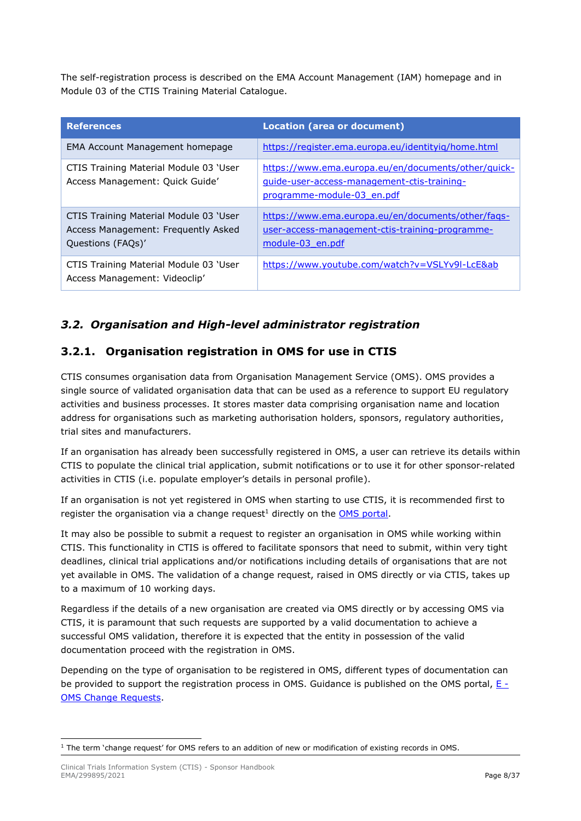The self-registration process is described on the EMA Account Management (IAM) homepage and in Module 03 of the CTIS Training Material Catalogue.

| <b>References</b>                                                                                  | <b>Location (area or document)</b>                                                                                               |
|----------------------------------------------------------------------------------------------------|----------------------------------------------------------------------------------------------------------------------------------|
| <b>EMA Account Management homepage</b>                                                             | https://register.ema.europa.eu/identityig/home.html                                                                              |
| CTIS Training Material Module 03 'User<br>Access Management: Quick Guide'                          | https://www.ema.europa.eu/en/documents/other/quick-<br>quide-user-access-management-ctis-training-<br>programme-module-03 en.pdf |
| CTIS Training Material Module 03 'User<br>Access Management: Frequently Asked<br>Questions (FAQs)' | https://www.ema.europa.eu/en/documents/other/fags-<br>user-access-management-ctis-training-programme-<br>module-03 en.pdf        |
| CTIS Training Material Module 03 'User<br>Access Management: Videoclip'                            | https://www.youtube.com/watch?v=VSLYv9I-LcE&ab                                                                                   |

# <span id="page-7-0"></span>*3.2. Organisation and High-level administrator registration*

### <span id="page-7-1"></span>**3.2.1. Organisation registration in OMS for use in CTIS**

CTIS consumes organisation data from Organisation Management Service (OMS). OMS provides a single source of validated organisation data that can be used as a reference to support EU regulatory activities and business processes. It stores master data comprising organisation name and location address for organisations such as marketing authorisation holders, sponsors, regulatory authorities, trial sites and manufacturers.

If an organisation has already been successfully registered in OMS, a user can retrieve its details within CTIS to populate the clinical trial application, submit notifications or to use it for other sponsor-related activities in CTIS (i.e. populate employer's details in personal profile).

If an organisation is not yet registered in OMS when starting to use CTIS, it is recommended first to register the organisation via a change request $1$  directly on the [OMS portal.](https://spor.ema.europa.eu/omswi/#/)

It may also be possible to submit a request to register an organisation in OMS while working within CTIS. This functionality in CTIS is offered to facilitate sponsors that need to submit, within very tight deadlines, clinical trial applications and/or notifications including details of organisations that are not yet available in OMS. The validation of a change request, raised in OMS directly or via CTIS, takes up to a maximum of 10 working days.

Regardless if the details of a new organisation are created via OMS directly or by accessing OMS via CTIS, it is paramount that such requests are supported by a valid documentation to achieve a successful OMS validation, therefore it is expected that the entity in possession of the valid documentation proceed with the registration in OMS.

Depending on the type of organisation to be registered in OMS, different types of documentation can be provided to support the registration process in OMS. Guidance is published on the OMS portal,  $E -$ [OMS Change Requests.](https://spor.ema.europa.eu/omswi/#/viewDocuments)

 $<sup>1</sup>$  The term 'change request' for OMS refers to an addition of new or modification of existing records in OMS.</sup>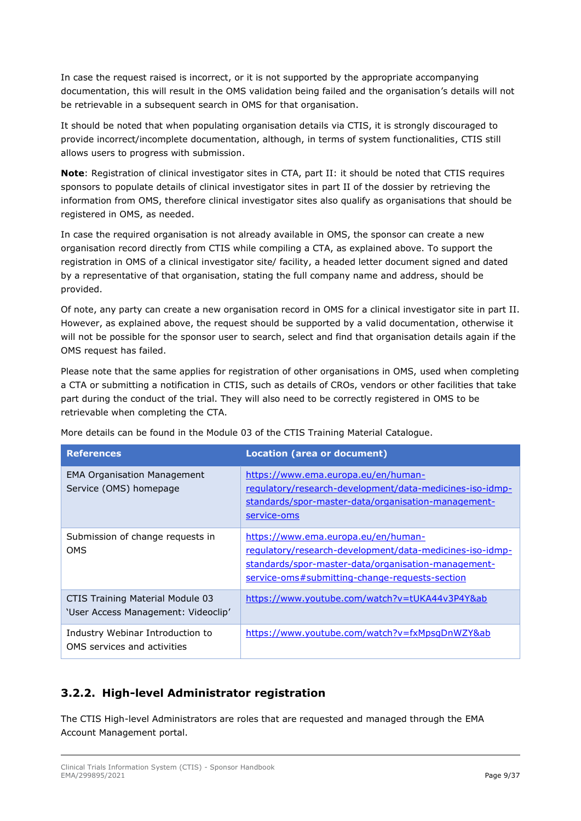In case the request raised is incorrect, or it is not supported by the appropriate accompanying documentation, this will result in the OMS validation being failed and the organisation's details will not be retrievable in a subsequent search in OMS for that organisation.

It should be noted that when populating organisation details via CTIS, it is strongly discouraged to provide incorrect/incomplete documentation, although, in terms of system functionalities, CTIS still allows users to progress with submission.

**Note**: Registration of clinical investigator sites in CTA, part II: it should be noted that CTIS requires sponsors to populate details of clinical investigator sites in part II of the dossier by retrieving the information from OMS, therefore clinical investigator sites also qualify as organisations that should be registered in OMS, as needed.

In case the required organisation is not already available in OMS, the sponsor can create a new organisation record directly from CTIS while compiling a CTA, as explained above. To support the registration in OMS of a clinical investigator site/ facility, a headed letter document signed and dated by a representative of that organisation, stating the full company name and address, should be provided.

Of note, any party can create a new organisation record in OMS for a clinical investigator site in part II. However, as explained above, the request should be supported by a valid documentation, otherwise it will not be possible for the sponsor user to search, select and find that organisation details again if the OMS request has failed.

Please note that the same applies for registration of other organisations in OMS, used when completing a CTA or submitting a notification in CTIS, such as details of CROs, vendors or other facilities that take part during the conduct of the trial. They will also need to be correctly registered in OMS to be retrievable when completing the CTA.

| <b>References</b>                                                              | <b>Location (area or document)</b>                                                                                                                                                                       |
|--------------------------------------------------------------------------------|----------------------------------------------------------------------------------------------------------------------------------------------------------------------------------------------------------|
| <b>EMA Organisation Management</b><br>Service (OMS) homepage                   | https://www.ema.europa.eu/en/human-<br>requiatory/research-development/data-medicines-iso-idmp-<br>standards/spor-master-data/organisation-management-<br>service-oms                                    |
| Submission of change requests in<br>OMS                                        | https://www.ema.europa.eu/en/human-<br>requiatory/research-development/data-medicines-iso-idmp-<br>standards/spor-master-data/organisation-management-<br>service-oms#submitting-change-requests-section |
| <b>CTIS Training Material Module 03</b><br>'User Access Management: Videoclip' | https://www.youtube.com/watch?v=tUKA44v3P4Y&ab                                                                                                                                                           |
| Industry Webinar Introduction to<br>OMS services and activities                | https://www.youtube.com/watch?v=fxMpsqDnWZY&ab                                                                                                                                                           |

More details can be found in the Module 03 of the CTIS Training Material Catalogue.

# <span id="page-8-0"></span>**3.2.2. High-level Administrator registration**

The CTIS High-level Administrators are roles that are requested and managed through the EMA Account Management portal.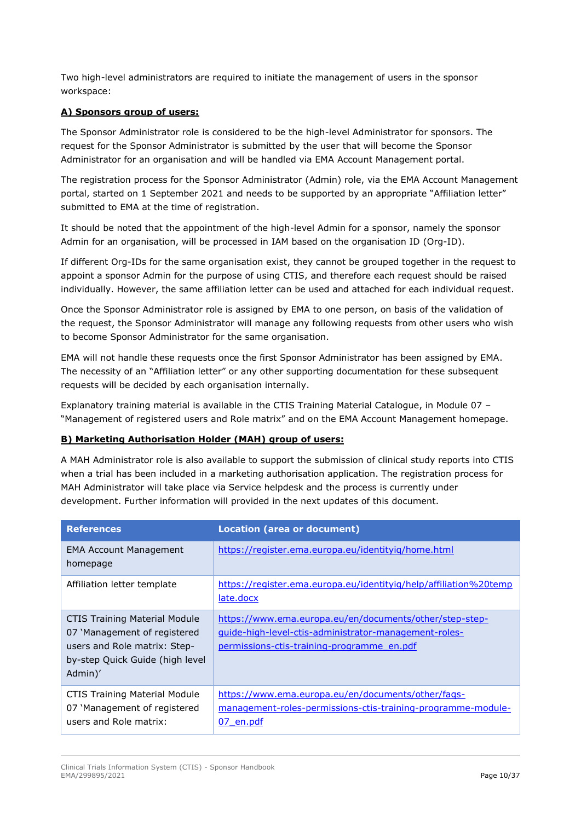Two high-level administrators are required to initiate the management of users in the sponsor workspace:

#### **A) Sponsors group of users:**

The Sponsor Administrator role is considered to be the high-level Administrator for sponsors. The request for the Sponsor Administrator is submitted by the user that will become the Sponsor Administrator for an organisation and will be handled via EMA Account Management portal.

The registration process for the Sponsor Administrator (Admin) role, via the EMA Account Management portal, started on 1 September 2021 and needs to be supported by an appropriate "Affiliation letter" submitted to EMA at the time of registration.

It should be noted that the appointment of the high-level Admin for a sponsor, namely the sponsor Admin for an organisation, will be processed in IAM based on the organisation ID (Org-ID).

If different Org-IDs for the same organisation exist, they cannot be grouped together in the request to appoint a sponsor Admin for the purpose of using CTIS, and therefore each request should be raised individually. However, the same affiliation letter can be used and attached for each individual request.

Once the Sponsor Administrator role is assigned by EMA to one person, on basis of the validation of the request, the Sponsor Administrator will manage any following requests from other users who wish to become Sponsor Administrator for the same organisation.

EMA will not handle these requests once the first Sponsor Administrator has been assigned by EMA. The necessity of an "Affiliation letter" or any other supporting documentation for these subsequent requests will be decided by each organisation internally.

Explanatory training material is available in the CTIS Training Material Catalogue, in Module 07 – "Management of registered users and Role matrix" and on the EMA Account Management homepage.

#### **B) Marketing Authorisation Holder (MAH) group of users:**

A MAH Administrator role is also available to support the submission of clinical study reports into CTIS when a trial has been included in a marketing authorisation application. The registration process for MAH Administrator will take place via Service helpdesk and the process is currently under development. Further information will provided in the next updates of this document.

| <b>References</b>                                                                                                                                  | <b>Location (area or document)</b>                                                                                                                             |
|----------------------------------------------------------------------------------------------------------------------------------------------------|----------------------------------------------------------------------------------------------------------------------------------------------------------------|
| <b>EMA Account Management</b><br>homepage                                                                                                          | https://register.ema.europa.eu/identityig/home.html                                                                                                            |
| Affiliation letter template                                                                                                                        | https://register.ema.europa.eu/identityig/help/affiliation%20temp<br>late.docx                                                                                 |
| <b>CTIS Training Material Module</b><br>07 'Management of registered<br>users and Role matrix: Step-<br>by-step Quick Guide (high level<br>Admin)' | https://www.ema.europa.eu/en/documents/other/step-step-<br>guide-high-level-ctis-administrator-management-roles-<br>permissions-ctis-training-programme en.pdf |
| <b>CTIS Training Material Module</b><br>07 'Management of registered<br>users and Role matrix:                                                     | https://www.ema.europa.eu/en/documents/other/fags-<br>management-roles-permissions-ctis-training-programme-module-<br>07 en.pdf                                |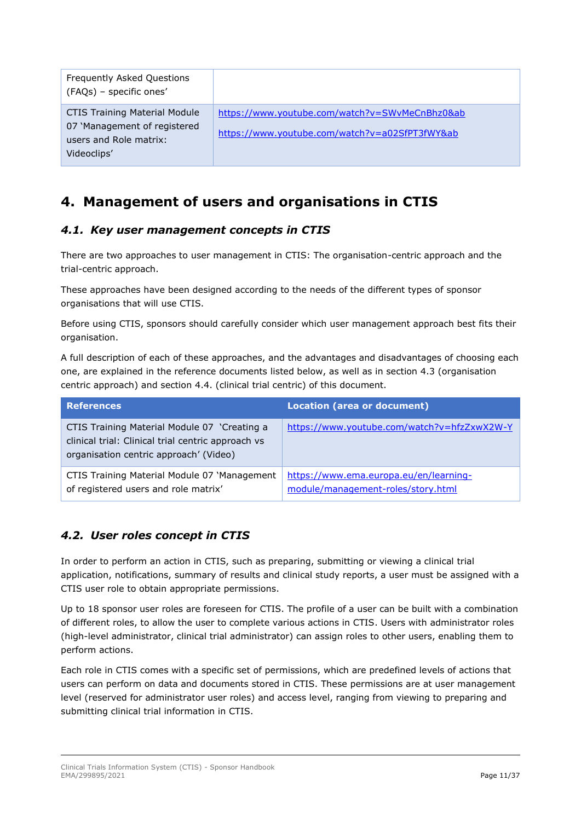| Frequently Asked Questions<br>(FAQs) - specific ones'                                                         |                                                                                                  |
|---------------------------------------------------------------------------------------------------------------|--------------------------------------------------------------------------------------------------|
| <b>CTIS Training Material Module</b><br>07 'Management of registered<br>users and Role matrix:<br>Videoclips' | https://www.youtube.com/watch?v=SWvMeCnBhz0&ab<br>https://www.youtube.com/watch?v=a02SfPT3fWY&ab |

# <span id="page-10-0"></span>**4. Management of users and organisations in CTIS**

# <span id="page-10-1"></span>*4.1. Key user management concepts in CTIS*

There are two approaches to user management in CTIS: The organisation-centric approach and the trial-centric approach.

These approaches have been designed according to the needs of the different types of sponsor organisations that will use CTIS.

Before using CTIS, sponsors should carefully consider which user management approach best fits their organisation.

A full description of each of these approaches, and the advantages and disadvantages of choosing each one, are explained in the reference documents listed below, as well as in section 4.3 (organisation centric approach) and section 4.4. (clinical trial centric) of this document.

| <b>References</b>                                                                                                                            | <b>Location (area or document)</b>                                           |
|----------------------------------------------------------------------------------------------------------------------------------------------|------------------------------------------------------------------------------|
| CTIS Training Material Module 07 'Creating a<br>clinical trial: Clinical trial centric approach vs<br>organisation centric approach' (Video) | https://www.youtube.com/watch?v=hfzZxwX2W-Y                                  |
| CTIS Training Material Module 07 'Management<br>of registered users and role matrix'                                                         | https://www.ema.europa.eu/en/learning-<br>module/management-roles/story.html |

# <span id="page-10-2"></span>*4.2. User roles concept in CTIS*

In order to perform an action in CTIS, such as preparing, submitting or viewing a clinical trial application, notifications, summary of results and clinical study reports, a user must be assigned with a CTIS user role to obtain appropriate permissions.

Up to 18 sponsor user roles are foreseen for CTIS. The profile of a user can be built with a combination of different roles, to allow the user to complete various actions in CTIS. Users with administrator roles (high-level administrator, clinical trial administrator) can assign roles to other users, enabling them to perform actions.

Each role in CTIS comes with a specific set of permissions, which are predefined levels of actions that users can perform on data and documents stored in CTIS. These permissions are at user management level (reserved for administrator user roles) and access level, ranging from viewing to preparing and submitting clinical trial information in CTIS.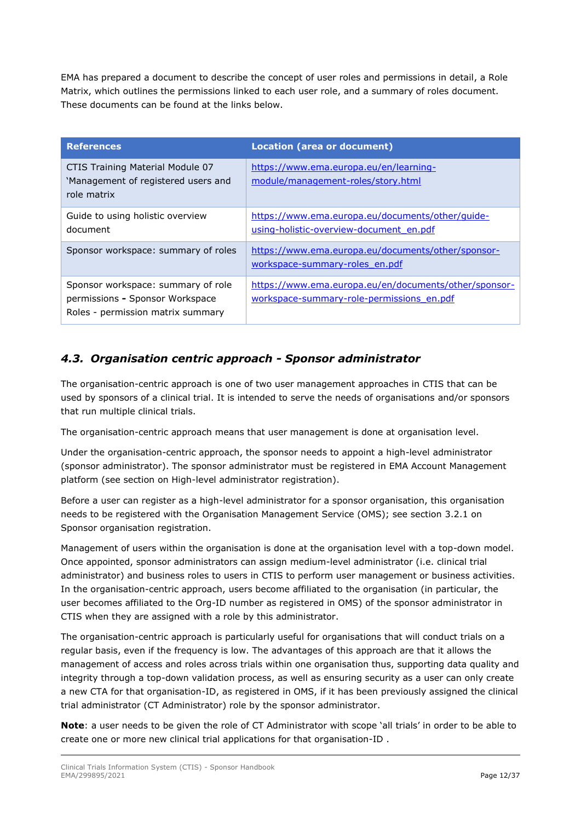EMA has prepared a document to describe the concept of user roles and permissions in detail, a Role Matrix, which outlines the permissions linked to each user role, and a summary of roles document. These documents can be found at the links below.

| <b>References</b>                                                                                          | <b>Location (area or document)</b>                                                                 |
|------------------------------------------------------------------------------------------------------------|----------------------------------------------------------------------------------------------------|
| CTIS Training Material Module 07<br>'Management of registered users and<br>role matrix                     | https://www.ema.europa.eu/en/learning-<br>module/management-roles/story.html                       |
| Guide to using holistic overview<br>document                                                               | https://www.ema.europa.eu/documents/other/quide-<br>using-holistic-overview-document en.pdf        |
| Sponsor workspace: summary of roles                                                                        | https://www.ema.europa.eu/documents/other/sponsor-<br>workspace-summary-roles en.pdf               |
| Sponsor workspace: summary of role<br>permissions - Sponsor Workspace<br>Roles - permission matrix summary | https://www.ema.europa.eu/en/documents/other/sponsor-<br>workspace-summary-role-permissions en.pdf |

## <span id="page-11-0"></span>*4.3. Organisation centric approach - Sponsor administrator*

The organisation-centric approach is one of two user management approaches in CTIS that can be used by sponsors of a clinical trial. It is intended to serve the needs of organisations and/or sponsors that run multiple clinical trials.

The organisation-centric approach means that user management is done at organisation level.

Under the organisation-centric approach, the sponsor needs to appoint a high-level administrator (sponsor administrator). The sponsor administrator must be registered in EMA Account Management platform (see section on High-level administrator registration).

Before a user can register as a high-level administrator for a sponsor organisation, this organisation needs to be registered with the Organisation Management Service (OMS); see section 3.2.1 on Sponsor organisation registration.

Management of users within the organisation is done at the organisation level with a top-down model. Once appointed, sponsor administrators can assign medium-level administrator (i.e. clinical trial administrator) and business roles to users in CTIS to perform user management or business activities. In the organisation-centric approach, users become affiliated to the organisation (in particular, the user becomes affiliated to the Org-ID number as registered in OMS) of the sponsor administrator in CTIS when they are assigned with a role by this administrator.

The organisation-centric approach is particularly useful for organisations that will conduct trials on a regular basis, even if the frequency is low. The advantages of this approach are that it allows the management of access and roles across trials within one organisation thus, supporting data quality and integrity through a top-down validation process, as well as ensuring security as a user can only create a new CTA for that organisation-ID, as registered in OMS, if it has been previously assigned the clinical trial administrator (CT Administrator) role by the sponsor administrator.

**Note**: a user needs to be given the role of CT Administrator with scope 'all trials' in order to be able to create one or more new clinical trial applications for that organisation-ID .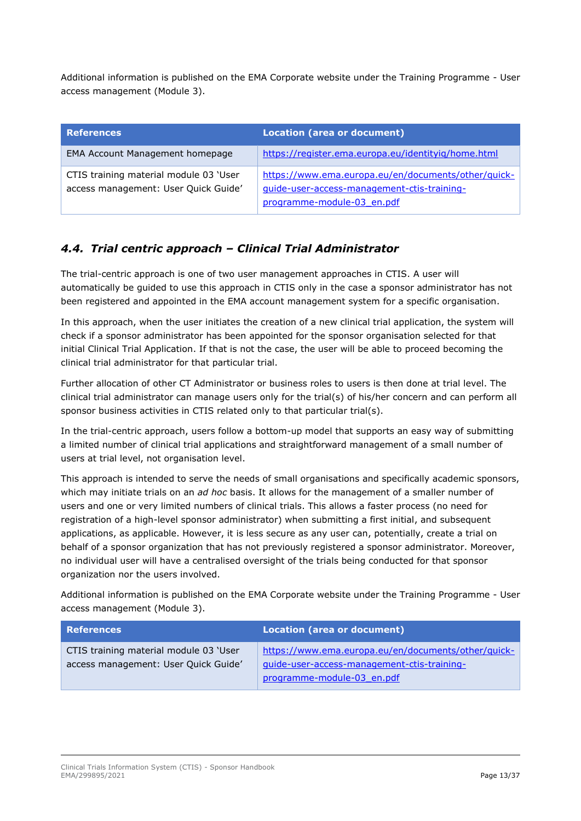Additional information is published on the EMA Corporate website under the Training Programme - User access management (Module 3).

| <b>References</b>                                                              | Location (area or document)                                                                                                      |
|--------------------------------------------------------------------------------|----------------------------------------------------------------------------------------------------------------------------------|
| EMA Account Management homepage                                                | https://register.ema.europa.eu/identityig/home.html                                                                              |
| CTIS training material module 03 'User<br>access management: User Quick Guide' | https://www.ema.europa.eu/en/documents/other/quick-<br>guide-user-access-management-ctis-training-<br>programme-module-03_en.pdf |

## <span id="page-12-0"></span>*4.4. Trial centric approach – Clinical Trial Administrator*

The trial-centric approach is one of two user management approaches in CTIS. A user will automatically be guided to use this approach in CTIS only in the case a sponsor administrator has not been registered and appointed in the EMA account management system for a specific organisation.

In this approach, when the user initiates the creation of a new clinical trial application, the system will check if a sponsor administrator has been appointed for the sponsor organisation selected for that initial Clinical Trial Application. If that is not the case, the user will be able to proceed becoming the clinical trial administrator for that particular trial.

Further allocation of other CT Administrator or business roles to users is then done at trial level. The clinical trial administrator can manage users only for the trial(s) of his/her concern and can perform all sponsor business activities in CTIS related only to that particular trial(s).

In the trial-centric approach, users follow a bottom-up model that supports an easy way of submitting a limited number of clinical trial applications and straightforward management of a small number of users at trial level, not organisation level.

This approach is intended to serve the needs of small organisations and specifically academic sponsors, which may initiate trials on an *ad hoc* basis. It allows for the management of a smaller number of users and one or very limited numbers of clinical trials. This allows a faster process (no need for registration of a high-level sponsor administrator) when submitting a first initial, and subsequent applications, as applicable. However, it is less secure as any user can, potentially, create a trial on behalf of a sponsor organization that has not previously registered a sponsor administrator. Moreover, no individual user will have a centralised oversight of the trials being conducted for that sponsor organization nor the users involved.

Additional information is published on the EMA Corporate website under the Training Programme - User access management (Module 3).

| References                                                                     | Location (area or document)                                                                                                      |
|--------------------------------------------------------------------------------|----------------------------------------------------------------------------------------------------------------------------------|
| CTIS training material module 03 'User<br>access management: User Quick Guide' | https://www.ema.europa.eu/en/documents/other/quick-<br>quide-user-access-management-ctis-training-<br>programme-module-03 en.pdf |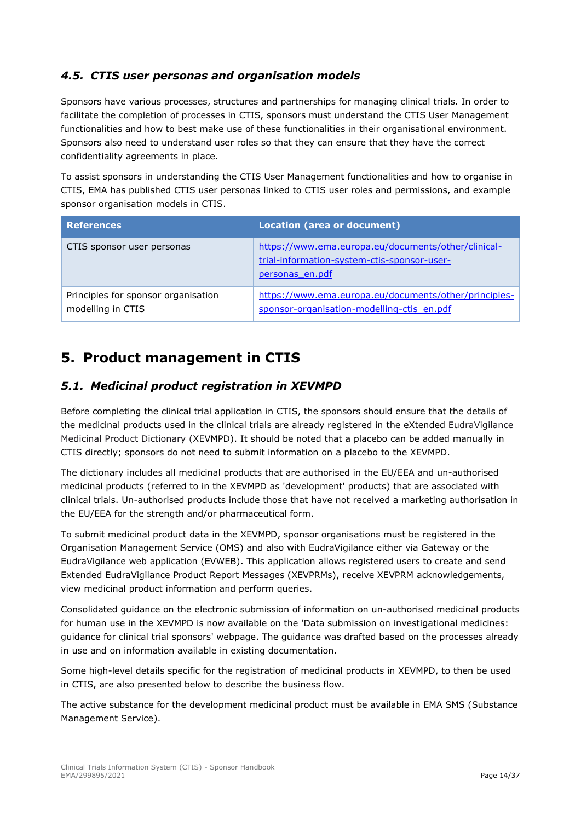# <span id="page-13-0"></span>*4.5. CTIS user personas and organisation models*

Sponsors have various processes, structures and partnerships for managing clinical trials. In order to facilitate the completion of processes in CTIS, sponsors must understand the CTIS User Management functionalities and how to best make use of these functionalities in their organisational environment. Sponsors also need to understand user roles so that they can ensure that they have the correct confidentiality agreements in place.

To assist sponsors in understanding the CTIS User Management functionalities and how to organise in CTIS, EMA has published CTIS user personas linked to CTIS user roles and permissions, and example sponsor organisation models in CTIS.

| <b>References</b>                                        | <b>Location (area or document)</b>                                                                                    |
|----------------------------------------------------------|-----------------------------------------------------------------------------------------------------------------------|
| CTIS sponsor user personas                               | https://www.ema.europa.eu/documents/other/clinical-<br>trial-information-system-ctis-sponsor-user-<br>personas en.pdf |
| Principles for sponsor organisation<br>modelling in CTIS | https://www.ema.europa.eu/documents/other/principles-<br>sponsor-organisation-modelling-ctis en.pdf                   |

# <span id="page-13-1"></span>**5. Product management in CTIS**

# <span id="page-13-2"></span>*5.1. Medicinal product registration in XEVMPD*

Before completing the clinical trial application in CTIS, the sponsors should ensure that the details of the medicinal products used in the clinical trials are already registered in the eXtended EudraVigilance Medicinal Product Dictionary (XEVMPD). It should be noted that a placebo can be added manually in CTIS directly; sponsors do not need to submit information on a placebo to the XEVMPD.

The dictionary includes all medicinal products that are authorised in the EU/EEA and un-authorised medicinal products (referred to in the XEVMPD as 'development' products) that are associated with clinical trials. Un-authorised products include those that have not received a marketing authorisation in the EU/EEA for the strength and/or pharmaceutical form.

To submit medicinal product data in the XEVMPD, sponsor organisations must be registered in the Organisation Management Service (OMS) and also with EudraVigilance either via Gateway or the EudraVigilance web application (EVWEB). This application allows registered users to create and send Extended [EudraVigilance](https://www.ema.europa.eu/en/glossary/eudravigilance) Product Report Messages (XEVPRMs), receive XEVPRM acknowledgements, view medicinal product information and perform queries.

Consolidated guidance on the electronic submission of information on un-authorised medicinal products for human use in the XEVMPD is now available on the 'Data submission on investigational medicines: guidance for clinical trial sponsors' webpage. The guidance was drafted based on the processes already in use and on information available in existing documentation.

Some high-level details specific for the registration of medicinal products in XEVMPD, to then be used in CTIS, are also presented below to describe the business flow.

The active substance for the development medicinal product must be available in EMA SMS (Substance Management Service).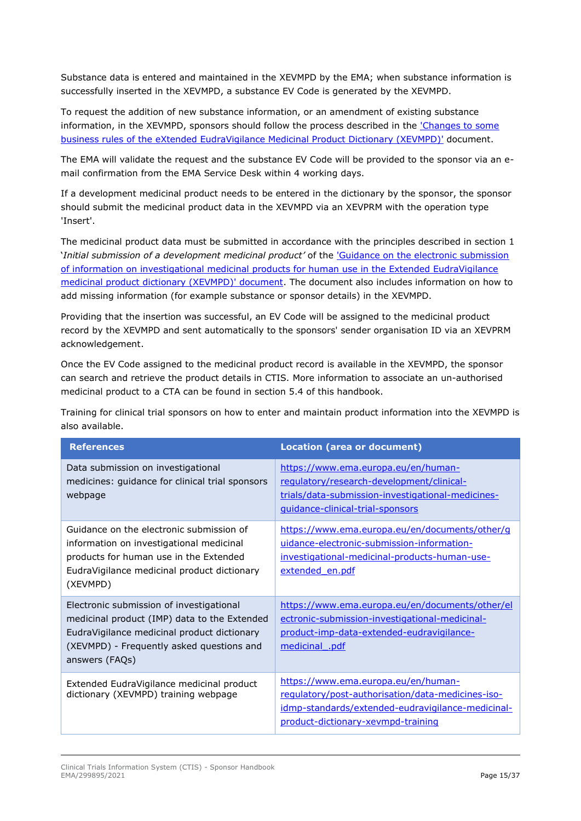Substance data is entered and maintained in the XEVMPD by the EMA; when substance information is successfully inserted in the XEVMPD, a substance EV Code is generated by the XEVMPD.

To request the addition of new substance information, or an amendment of existing substance information, in the XEVMPD, sponsors should follow the process described in the ['Changes to some](https://www.ema.europa.eu/en/documents/other/changes-some-business-rules-extended-eudravigilance-medicinal-product-dictionary-xevmpd-submission_en.pdf)  business rules of the eXtended [EudraVigilance Medicinal Product Dictionary \(XEVMPD\)'](https://www.ema.europa.eu/en/documents/other/changes-some-business-rules-extended-eudravigilance-medicinal-product-dictionary-xevmpd-submission_en.pdf) document.

The EMA will validate the request and the substance EV Code will be provided to the sponsor via an email confirmation from the EMA Service Desk within 4 working days.

If a development medicinal product needs to be entered in the dictionary by the sponsor, the sponsor should submit the medicinal product data in the XEVMPD via an XEVPRM with the operation type 'Insert'.

The medicinal product data must be submitted in accordance with the principles described in section 1 '*Initial submission of a development medicinal product'* of the ['Guidance on the electronic submission](https://www.ema.europa.eu/en/documents/other/guidance-electronic-submission-information-investigational-medicinal-products-human-use-extended_en.pdf)  [of information on investigational medicinal products for human use in the Extended EudraVigilance](https://www.ema.europa.eu/en/documents/other/guidance-electronic-submission-information-investigational-medicinal-products-human-use-extended_en.pdf)  [medicinal product dictionary \(XEVMPD\)' document.](https://www.ema.europa.eu/en/documents/other/guidance-electronic-submission-information-investigational-medicinal-products-human-use-extended_en.pdf) The document also includes information on how to add missing information (for example substance or sponsor details) in the XEVMPD.

Providing that the insertion was successful, an EV Code will be assigned to the medicinal product record by the XEVMPD and sent automatically to the sponsors' sender organisation ID via an XEVPRM acknowledgement.

Once the EV Code assigned to the medicinal product record is available in the XEVMPD, the sponsor can search and retrieve the product details in CTIS. More information to associate an un-authorised medicinal product to a CTA can be found in section 5.4 of this handbook.

Training for clinical trial sponsors on how to enter and maintain product information into the XEVMPD is also available.

| <b>References</b>                                                                                                                                                                                      | <b>Location (area or document)</b>                                                                                                                                                  |
|--------------------------------------------------------------------------------------------------------------------------------------------------------------------------------------------------------|-------------------------------------------------------------------------------------------------------------------------------------------------------------------------------------|
| Data submission on investigational<br>medicines: guidance for clinical trial sponsors<br>webpage                                                                                                       | https://www.ema.europa.eu/en/human-<br>requiatory/research-development/clinical-<br>trials/data-submission-investigational-medicines-<br>guidance-clinical-trial-sponsors           |
| Guidance on the electronic submission of<br>information on investigational medicinal<br>products for human use in the Extended<br>EudraVigilance medicinal product dictionary<br>(XEVMPD)              | https://www.ema.europa.eu/en/documents/other/g<br>uidance-electronic-submission-information-<br>investigational-medicinal-products-human-use-<br>extended en.pdf                    |
| Electronic submission of investigational<br>medicinal product (IMP) data to the Extended<br>EudraVigilance medicinal product dictionary<br>(XEVMPD) - Frequently asked questions and<br>answers (FAQs) | https://www.ema.europa.eu/en/documents/other/el<br>ectronic-submission-investigational-medicinal-<br>product-imp-data-extended-eudravigilance-<br>medicinal .pdf                    |
| Extended EudraVigilance medicinal product<br>dictionary (XEVMPD) training webpage                                                                                                                      | https://www.ema.europa.eu/en/human-<br>requlatory/post-authorisation/data-medicines-iso-<br>idmp-standards/extended-eudravigilance-medicinal-<br>product-dictionary-xevmpd-training |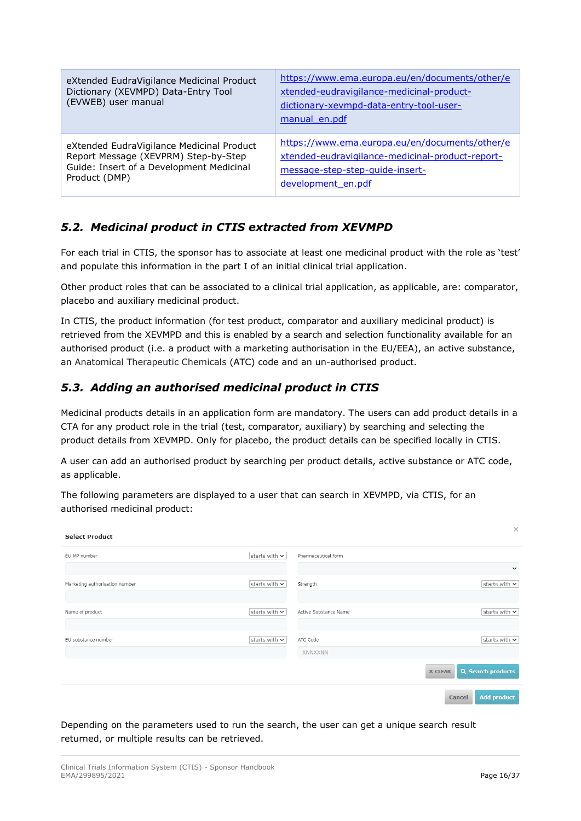| eXtended EudraVigilance Medicinal Product<br>Dictionary (XEVMPD) Data-Entry Tool<br>(EVWEB) user manual | https://www.ema.europa.eu/en/documents/other/e<br>xtended-eudravigilance-medicinal-product-<br>dictionary-xevmpd-data-entry-tool-user-<br>manual en.pdf |
|---------------------------------------------------------------------------------------------------------|---------------------------------------------------------------------------------------------------------------------------------------------------------|
| eXtended EudraVigilance Medicinal Product                                                               | https://www.ema.europa.eu/en/documents/other/e                                                                                                          |
| Report Message (XEVPRM) Step-by-Step                                                                    | xtended-eudravigilance-medicinal-product-report-                                                                                                        |
| Guide: Insert of a Development Medicinal                                                                | message-step-step-guide-insert-                                                                                                                         |
| Product (DMP)                                                                                           | development en.pdf                                                                                                                                      |

### <span id="page-15-0"></span>*5.2. Medicinal product in CTIS extracted from XEVMPD*

For each trial in CTIS, the sponsor has to associate at least one medicinal product with the role as 'test' and populate this information in the part I of an initial clinical trial application.

Other product roles that can be associated to a clinical trial application, as applicable, are: comparator, placebo and auxiliary medicinal product.

In CTIS, the product information (for test product, comparator and auxiliary medicinal product) is retrieved from the XEVMPD and this is enabled by a search and selection functionality available for an authorised product (i.e. a product with a marketing authorisation in the EU/EEA), an active substance, an Anatomical Therapeutic Chemicals (ATC) code and an un-authorised product.

## <span id="page-15-1"></span>*5.3. Adding an authorised medicinal product in CTIS*

Medicinal products details in an application form are mandatory. The users can add product details in a CTA for any product role in the trial (test, comparator, auxiliary) by searching and selecting the product details from XEVMPD. Only for placebo, the product details can be specified locally in CTIS.

A user can add an authorised product by searching per product details, active substance or ATC code, as applicable.

The following parameters are displayed to a user that can search in XEVMPD, via CTIS, for an authorised medicinal product:

| <b>Select Product</b>          |                    |                       | $\times$                                   |
|--------------------------------|--------------------|-----------------------|--------------------------------------------|
| EU MP number                   | starts with $\sim$ | Pharmaceutical form   |                                            |
|                                |                    |                       | $\checkmark$                               |
| Marketing authorisation number | starts with $\sim$ | Strength              | starts with $\sim$                         |
|                                |                    |                       |                                            |
| Name of product                | starts with $\sim$ | Active Substance Name | starts with $\sim$                         |
|                                |                    |                       |                                            |
| EU substance number            | starts with $\sim$ | ATC Code              | starts with $\sim$                         |
|                                |                    | XNNXXNN               |                                            |
|                                |                    |                       | <b>Q</b> Search products<br><b>X CLEAR</b> |
|                                |                    |                       | <b>Add product</b><br>Cancel               |

Depending on the parameters used to run the search, the user can get a unique search result returned, or multiple results can be retrieved.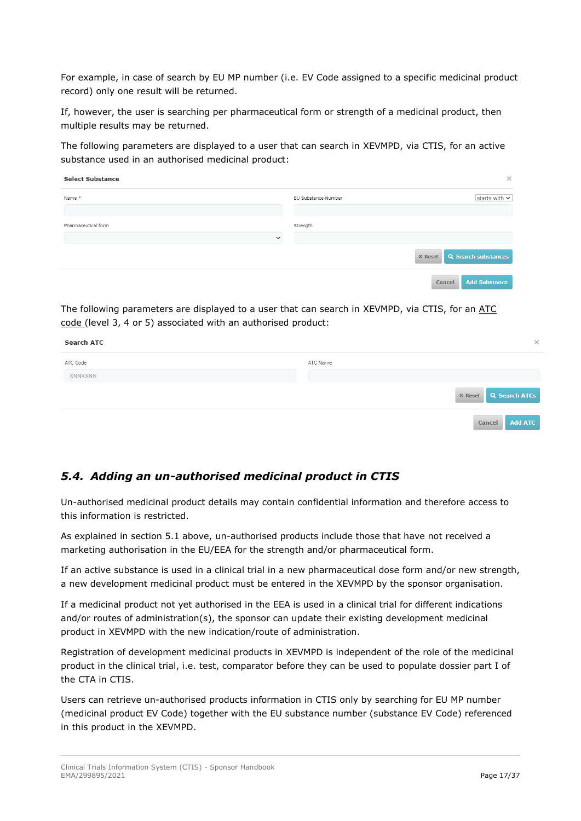For example, in case of search by EU MP number (i.e. EV Code assigned to a specific medicinal product record) only one result will be returned.

If, however, the user is searching per pharmaceutical form or strength of a medicinal product, then multiple results may be returned.

The following parameters are displayed to a user that can search in XEVMPD, via CTIS, for an active substance used in an authorised medicinal product:

| <b>Select Substance</b> | $\times$                                     |
|-------------------------|----------------------------------------------|
| Name *                  | starts with $\sim$<br>EU Substance Number    |
|                         |                                              |
| Pharmaceutical form     | Strength                                     |
| $\checkmark$            |                                              |
|                         | <b>Q</b> Search substances<br><b>×</b> Reset |
|                         | <b>Add Substance</b><br>Cancel               |

The following parameters are displayed to a user that can search in XEVMPD, via CTIS, for an ATC code (level 3, 4 or 5) associated with an authorised product:

| Search ATC | ×                            |
|------------|------------------------------|
| ATC Code   | ATC Name                     |
| XNNXXNN    |                              |
|            | <b>X Reset Q Search ATCs</b> |
|            | <b>Add ATC</b><br>Cancel     |

### <span id="page-16-0"></span>*5.4. Adding an un-authorised medicinal product in CTIS*

Un-authorised medicinal product details may contain confidential information and therefore access to this information is restricted.

As explained in section 5.1 above, un-authorised products include those that have not received a marketing authorisation in the EU/EEA for the strength and/or pharmaceutical form.

If an active substance is used in a clinical trial in a new pharmaceutical dose form and/or new strength, a new development medicinal product must be entered in the XEVMPD by the sponsor organisation.

If a medicinal product not yet authorised in the EEA is used in a clinical trial for different indications and/or routes of administration(s), the sponsor can update their existing development medicinal product in XEVMPD with the new indication/route of administration.

Registration of development medicinal products in XEVMPD is independent of the role of the medicinal product in the clinical trial, i.e. test, comparator before they can be used to populate dossier part I of the CTA in CTIS.

Users can retrieve un-authorised products information in CTIS only by searching for EU MP number (medicinal product EV Code) together with the EU substance number (substance EV Code) referenced in this product in the XEVMPD.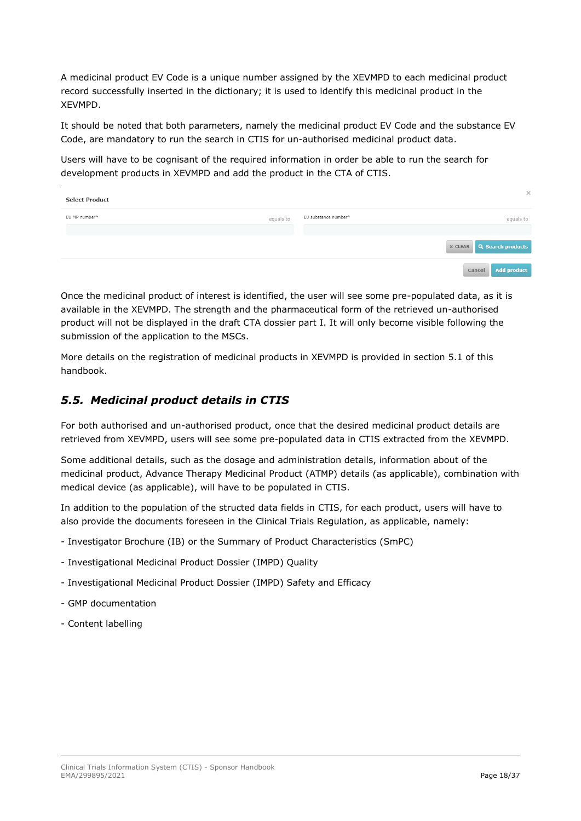A medicinal product EV Code is a unique number assigned by the XEVMPD to each medicinal product record successfully inserted in the dictionary; it is used to identify this medicinal product in the XEVMPD.

It should be noted that both parameters, namely the medicinal product EV Code and the substance EV Code, are mandatory to run the search in CTIS for un-authorised medicinal product data.

Users will have to be cognisant of the required information in order be able to run the search for development products in XEVMPD and add the product in the CTA of CTIS.

| <b>Select Product</b> |           |                      | $\times$                         |
|-----------------------|-----------|----------------------|----------------------------------|
| EU MP number*         | equals to | EU substance number* | equals to                        |
|                       |           |                      |                                  |
|                       |           |                      | <b>x CLEAR Q Search products</b> |
|                       |           |                      | <b>Add product</b><br>Cancel     |

Once the medicinal product of interest is identified, the user will see some pre-populated data, as it is available in the XEVMPD. The strength and the pharmaceutical form of the retrieved un-authorised product will not be displayed in the draft CTA dossier part I. It will only become visible following the submission of the application to the MSCs.

More details on the registration of medicinal products in XEVMPD is provided in section 5.1 of this handbook.

### <span id="page-17-0"></span>*5.5. Medicinal product details in CTIS*

For both authorised and un-authorised product, once that the desired medicinal product details are retrieved from XEVMPD, users will see some pre-populated data in CTIS extracted from the XEVMPD.

Some additional details, such as the dosage and administration details, information about of the medicinal product, Advance Therapy Medicinal Product (ATMP) details (as applicable), combination with medical device (as applicable), will have to be populated in CTIS.

In addition to the population of the structed data fields in CTIS, for each product, users will have to also provide the documents foreseen in the Clinical Trials Regulation, as applicable, namely:

- Investigator Brochure (IB) or the Summary of Product Characteristics (SmPC)
- Investigational Medicinal Product Dossier (IMPD) Quality
- Investigational Medicinal Product Dossier (IMPD) Safety and Efficacy
- GMP documentation
- Content labelling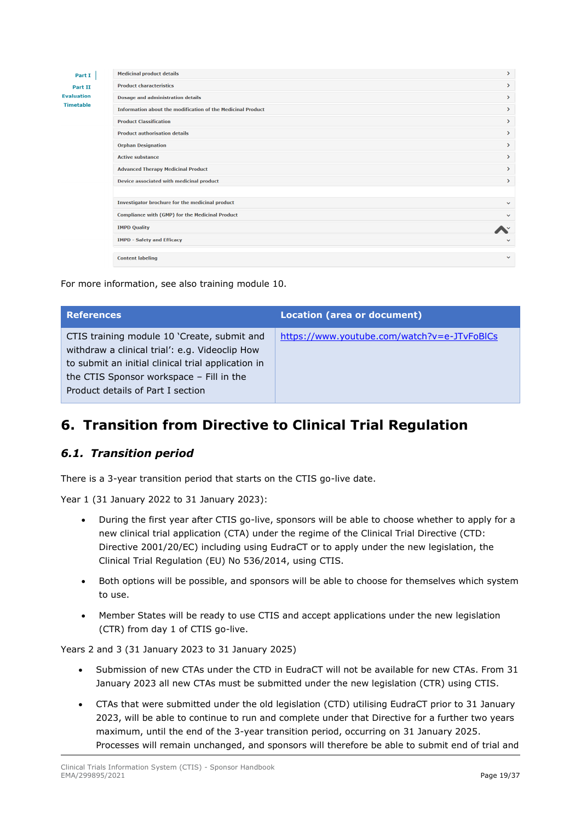| rt I | <b>Medicinal product details</b>                                   | $\rightarrow$ |
|------|--------------------------------------------------------------------|---------------|
| t II | <b>Product characteristics</b>                                     | $\rightarrow$ |
| ion  | Dosage and administration details                                  | $\rightarrow$ |
| ble  | <b>Information about the modification of the Medicinal Product</b> | $\rightarrow$ |
|      | <b>Product Classification</b>                                      | $\rightarrow$ |
|      | <b>Product authorisation details</b>                               | $\rightarrow$ |
|      | <b>Orphan Designation</b>                                          | $\rightarrow$ |
|      | <b>Active substance</b>                                            | $\rightarrow$ |
|      | <b>Advanced Therapy Medicinal Product</b>                          | $\rightarrow$ |
|      | Device associated with medicinal product                           | $\rightarrow$ |
|      |                                                                    |               |
|      | Investigator brochure for the medicinal product                    | $\checkmark$  |
|      | Compliance with (GMP) for the Medicinal Product                    | $\checkmark$  |
|      | <b>IMPD Quality</b>                                                |               |
|      | <b>IMPD - Safety and Efficacy</b>                                  | $\checkmark$  |
|      | <b>Content labeling</b>                                            | $\checkmark$  |

For more information, see also training module 10.

| <b>References</b>                                                                                                                                                                                                                    | <b>Location (area or document)</b>          |
|--------------------------------------------------------------------------------------------------------------------------------------------------------------------------------------------------------------------------------------|---------------------------------------------|
| CTIS training module 10 'Create, submit and<br>withdraw a clinical trial': e.g. Videoclip How<br>to submit an initial clinical trial application in<br>the CTIS Sponsor workspace - Fill in the<br>Product details of Part I section | https://www.youtube.com/watch?v=e-JTvFoBICs |

# <span id="page-18-0"></span>**6. Transition from Directive to Clinical Trial Regulation**

# <span id="page-18-1"></span>*6.1. Transition period*

D- $D<sub>2</sub>$ Evaluat Timeta

There is a 3-year transition period that starts on the CTIS go-live date.

Year 1 (31 January 2022 to 31 January 2023):

- During the first year after CTIS go-live, sponsors will be able to choose whether to apply for a new clinical trial application (CTA) under the regime of the Clinical Trial Directive (CTD: Directive 2001/20/EC) including using EudraCT or to apply under the new legislation, the Clinical Trial Regulation (EU) No 536/2014, using CTIS.
- Both options will be possible, and sponsors will be able to choose for themselves which system to use.
- Member States will be ready to use CTIS and accept applications under the new legislation (CTR) from day 1 of CTIS go-live.

Years 2 and 3 (31 January 2023 to 31 January 2025)

- Submission of new CTAs under the CTD in EudraCT will not be available for new CTAs. From 31 January 2023 all new CTAs must be submitted under the new legislation (CTR) using CTIS.
- CTAs that were submitted under the old legislation (CTD) utilising EudraCT prior to 31 January 2023, will be able to continue to run and complete under that Directive for a further two years maximum, until the end of the 3-year transition period, occurring on 31 January 2025. Processes will remain unchanged, and sponsors will therefore be able to submit end of trial and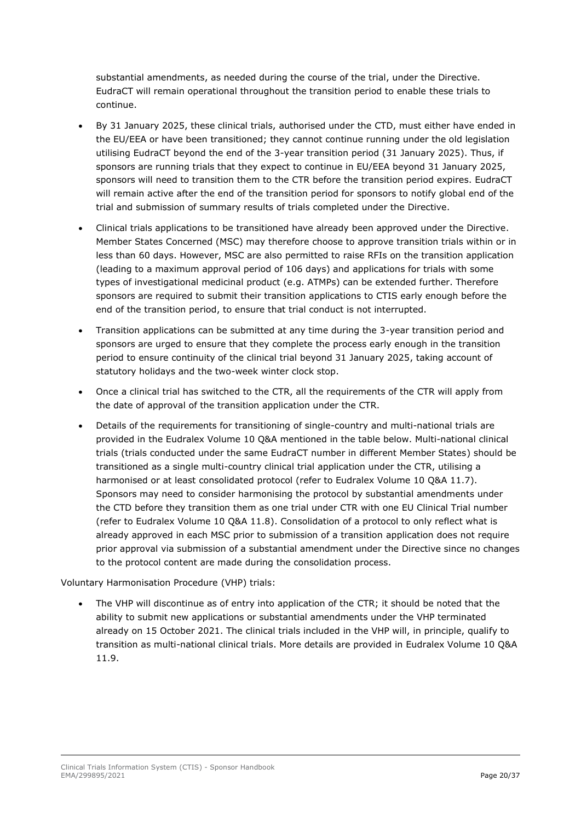substantial amendments, as needed during the course of the trial, under the Directive. EudraCT will remain operational throughout the transition period to enable these trials to continue.

- By 31 January 2025, these clinical trials, authorised under the CTD, must either have ended in the EU/EEA or have been transitioned; they cannot continue running under the old legislation utilising EudraCT beyond the end of the 3-year transition period (31 January 2025). Thus, if sponsors are running trials that they expect to continue in EU/EEA beyond 31 January 2025, sponsors will need to transition them to the CTR before the transition period expires. EudraCT will remain active after the end of the transition period for sponsors to notify global end of the trial and submission of summary results of trials completed under the Directive.
- Clinical trials applications to be transitioned have already been approved under the Directive. Member States Concerned (MSC) may therefore choose to approve transition trials within or in less than 60 days. However, MSC are also permitted to raise RFIs on the transition application (leading to a maximum approval period of 106 days) and applications for trials with some types of investigational medicinal product (e.g. ATMPs) can be extended further. Therefore sponsors are required to submit their transition applications to CTIS early enough before the end of the transition period, to ensure that trial conduct is not interrupted.
- Transition applications can be submitted at any time during the 3-year transition period and sponsors are urged to ensure that they complete the process early enough in the transition period to ensure continuity of the clinical trial beyond 31 January 2025, taking account of statutory holidays and the two-week winter clock stop.
- Once a clinical trial has switched to the CTR, all the requirements of the CTR will apply from the date of approval of the transition application under the CTR.
- Details of the requirements for transitioning of single-country and multi-national trials are provided in the Eudralex Volume 10 Q&A mentioned in the table below. Multi-national clinical trials (trials conducted under the same EudraCT number in different Member States) should be transitioned as a single multi-country clinical trial application under the CTR, utilising a harmonised or at least consolidated protocol (refer to Eudralex Volume 10 Q&A 11.7). Sponsors may need to consider harmonising the protocol by substantial amendments under the CTD before they transition them as one trial under CTR with one EU Clinical Trial number (refer to Eudralex Volume 10 Q&A 11.8). Consolidation of a protocol to only reflect what is already approved in each MSC prior to submission of a transition application does not require prior approval via submission of a substantial amendment under the Directive since no changes to the protocol content are made during the consolidation process.

#### Voluntary Harmonisation Procedure (VHP) trials:

• The VHP will discontinue as of entry into application of the CTR; it should be noted that the ability to submit new applications or substantial amendments under the VHP terminated already on 15 October 2021. The clinical trials included in the VHP will, in principle, qualify to transition as multi-national clinical trials. More details are provided in Eudralex Volume 10 Q&A 11.9.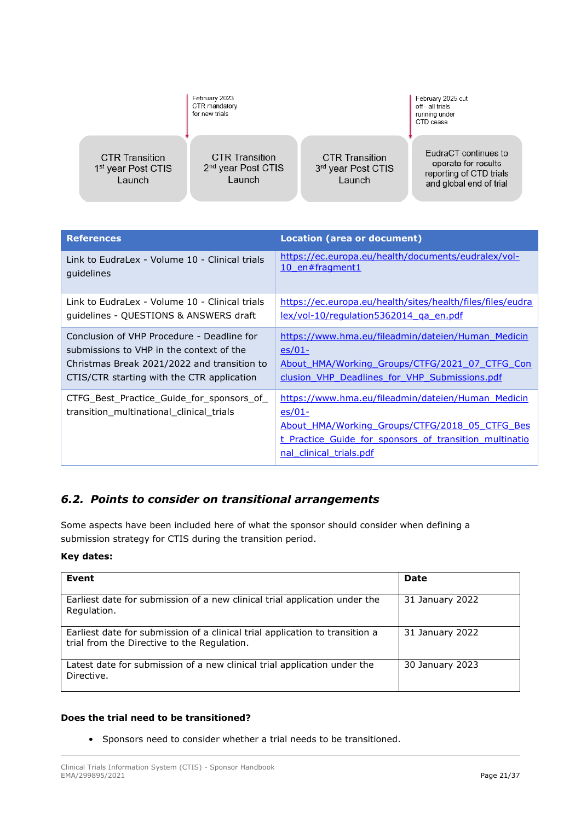|                                                                   | February 2023<br>CTR mandatory<br>for new trials                  |                                                       | February 2025 cut<br>off - all trials<br>running under<br>CTD cease                               |
|-------------------------------------------------------------------|-------------------------------------------------------------------|-------------------------------------------------------|---------------------------------------------------------------------------------------------------|
| <b>CTR Transition</b><br>1 <sup>st</sup> year Post CTIS<br>Launch | <b>CTR Transition</b><br>2 <sup>nd</sup> year Post CTIS<br>Launch | <b>CTR Transition</b><br>3rd year Post CTIS<br>Launch | EudraCT continues to<br>operate for results<br>reporting of CTD trials<br>and global end of trial |

| <b>References</b>                                                                     | Location (area or document)                                                                                                                                                                            |
|---------------------------------------------------------------------------------------|--------------------------------------------------------------------------------------------------------------------------------------------------------------------------------------------------------|
| Link to EudraLex - Volume 10 - Clinical trials                                        | https://ec.europa.eu/health/documents/eudralex/vol-                                                                                                                                                    |
| guidelines                                                                            | 10 en#fragment1                                                                                                                                                                                        |
| Link to EudraLex - Volume 10 - Clinical trials                                        | https://ec.europa.eu/health/sites/health/files/files/eudra                                                                                                                                             |
| quidelines - QUESTIONS & ANSWERS draft                                                | lex/vol-10/regulation5362014 ga en.pdf                                                                                                                                                                 |
| Conclusion of VHP Procedure - Deadline for                                            | https://www.hma.eu/fileadmin/dateien/Human Medicin                                                                                                                                                     |
| submissions to VHP in the context of the                                              | $es/01-$                                                                                                                                                                                               |
| Christmas Break 2021/2022 and transition to                                           | About HMA/Working Groups/CTFG/2021 07 CTFG Con                                                                                                                                                         |
| CTIS/CTR starting with the CTR application                                            | clusion VHP Deadlines for VHP Submissions.pdf                                                                                                                                                          |
| CTFG_Best_Practice_Guide_for_sponsors_of_<br>transition_multinational_clinical_trials | https://www.hma.eu/fileadmin/dateien/Human Medicin<br>$es/01 -$<br>About HMA/Working Groups/CTFG/2018 05 CTFG Bes<br>t Practice Guide for sponsors of transition multinatio<br>nal clinical trials.pdf |

# <span id="page-20-0"></span>*6.2. Points to consider on transitional arrangements*

Some aspects have been included here of what the sponsor should consider when defining a submission strategy for CTIS during the transition period.

#### **Key dates:**

| Event                                                                                                                       | Date            |
|-----------------------------------------------------------------------------------------------------------------------------|-----------------|
| Earliest date for submission of a new clinical trial application under the<br>Regulation.                                   | 31 January 2022 |
| Earliest date for submission of a clinical trial application to transition a<br>trial from the Directive to the Regulation. | 31 January 2022 |
| Latest date for submission of a new clinical trial application under the<br>Directive.                                      | 30 January 2023 |

#### **Does the trial need to be transitioned?**

• Sponsors need to consider whether a trial needs to be transitioned.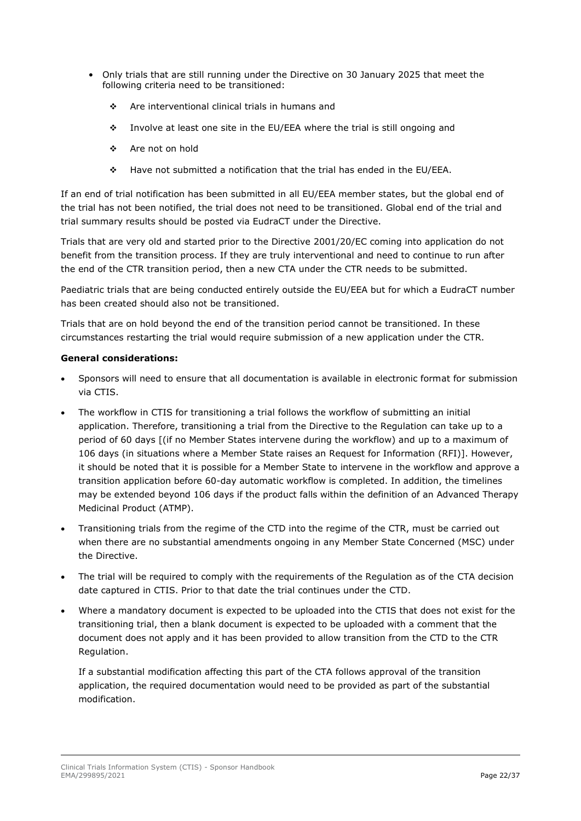- Only trials that are still running under the Directive on 30 January 2025 that meet the following criteria need to be transitioned:
	- ❖ Are interventional clinical trials in humans and
	- ❖ Involve at least one site in the EU/EEA where the trial is still ongoing and
	- ❖ Are not on hold
	- ❖ Have not submitted a notification that the trial has ended in the EU/EEA.

If an end of trial notification has been submitted in all EU/EEA member states, but the global end of the trial has not been notified, the trial does not need to be transitioned. Global end of the trial and trial summary results should be posted via EudraCT under the Directive.

Trials that are very old and started prior to the Directive 2001/20/EC coming into application do not benefit from the transition process. If they are truly interventional and need to continue to run after the end of the CTR transition period, then a new CTA under the CTR needs to be submitted.

Paediatric trials that are being conducted entirely outside the EU/EEA but for which a EudraCT number has been created should also not be transitioned.

Trials that are on hold beyond the end of the transition period cannot be transitioned. In these circumstances restarting the trial would require submission of a new application under the CTR.

#### **General considerations:**

- Sponsors will need to ensure that all documentation is available in electronic format for submission via CTIS.
- The workflow in CTIS for transitioning a trial follows the workflow of submitting an initial application. Therefore, transitioning a trial from the Directive to the Regulation can take up to a period of 60 days [(if no Member States intervene during the workflow) and up to a maximum of 106 days (in situations where a Member State raises an Request for Information (RFI)]. However, it should be noted that it is possible for a Member State to intervene in the workflow and approve a transition application before 60-day automatic workflow is completed. In addition, the timelines may be extended beyond 106 days if the product falls within the definition of an Advanced Therapy Medicinal Product (ATMP).
- Transitioning trials from the regime of the CTD into the regime of the CTR, must be carried out when there are no substantial amendments ongoing in any Member State Concerned (MSC) under the Directive.
- The trial will be required to comply with the requirements of the Regulation as of the CTA decision date captured in CTIS. Prior to that date the trial continues under the CTD.
- Where a mandatory document is expected to be uploaded into the CTIS that does not exist for the transitioning trial, then a blank document is expected to be uploaded with a comment that the document does not apply and it has been provided to allow transition from the CTD to the CTR Regulation.

If a substantial modification affecting this part of the CTA follows approval of the transition application, the required documentation would need to be provided as part of the substantial modification.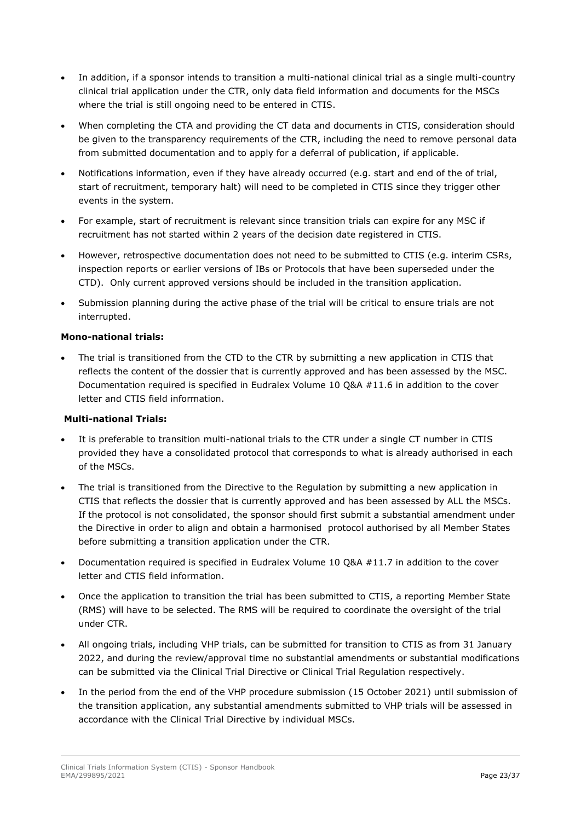- In addition, if a sponsor intends to transition a multi-national clinical trial as a single multi-country clinical trial application under the CTR, only data field information and documents for the MSCs where the trial is still ongoing need to be entered in CTIS.
- When completing the CTA and providing the CT data and documents in CTIS, consideration should be given to the transparency requirements of the CTR, including the need to remove personal data from submitted documentation and to apply for a deferral of publication, if applicable.
- Notifications information, even if they have already occurred (e.g. start and end of the of trial, start of recruitment, temporary halt) will need to be completed in CTIS since they trigger other events in the system.
- For example, start of recruitment is relevant since transition trials can expire for any MSC if recruitment has not started within 2 years of the decision date registered in CTIS.
- However, retrospective documentation does not need to be submitted to CTIS (e.g. interim CSRs, inspection reports or earlier versions of IBs or Protocols that have been superseded under the CTD). Only current approved versions should be included in the transition application.
- Submission planning during the active phase of the trial will be critical to ensure trials are not interrupted.

#### **Mono-national trials:**

• The trial is transitioned from the CTD to the CTR by submitting a new application in CTIS that reflects the content of the dossier that is currently approved and has been assessed by the MSC. Documentation required is specified in Eudralex Volume 10 Q&A #11.6 in addition to the cover letter and CTIS field information.

#### **Multi-national Trials:**

- It is preferable to transition multi-national trials to the CTR under a single CT number in CTIS provided they have a consolidated protocol that corresponds to what is already authorised in each of the MSCs.
- The trial is transitioned from the Directive to the Regulation by submitting a new application in CTIS that reflects the dossier that is currently approved and has been assessed by ALL the MSCs. If the protocol is not consolidated, the sponsor should first submit a substantial amendment under the Directive in order to align and obtain a harmonised protocol authorised by all Member States before submitting a transition application under the CTR.
- Documentation required is specified in Eudralex Volume 10 Q&A #11.7 in addition to the cover letter and CTIS field information.
- Once the application to transition the trial has been submitted to CTIS, a reporting Member State (RMS) will have to be selected. The RMS will be required to coordinate the oversight of the trial under CTR.
- All ongoing trials, including VHP trials, can be submitted for transition to CTIS as from 31 January 2022, and during the review/approval time no substantial amendments or substantial modifications can be submitted via the Clinical Trial Directive or Clinical Trial Regulation respectively.
- In the period from the end of the VHP procedure submission (15 October 2021) until submission of the transition application, any substantial amendments submitted to VHP trials will be assessed in accordance with the Clinical Trial Directive by individual MSCs.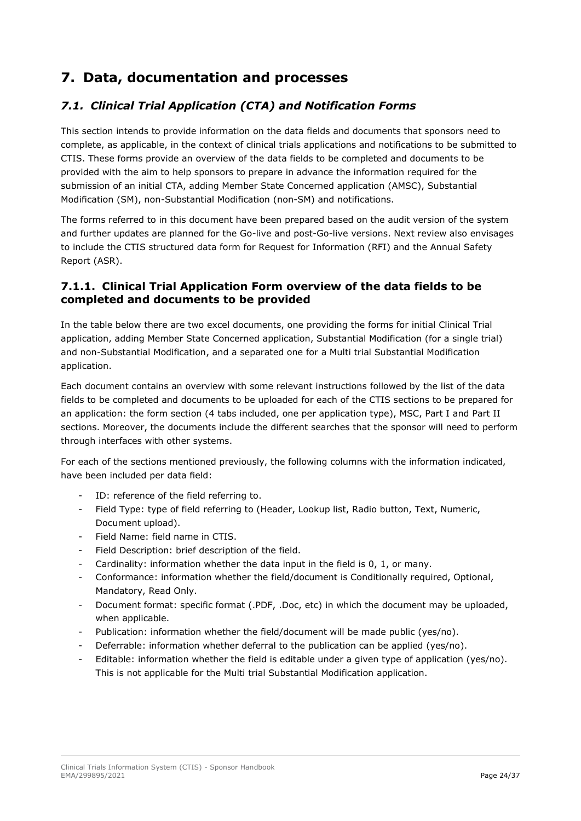# <span id="page-23-0"></span>**7. Data, documentation and processes**

# <span id="page-23-1"></span>*7.1. Clinical Trial Application (CTA) and Notification Forms*

This section intends to provide information on the data fields and documents that sponsors need to complete, as applicable, in the context of clinical trials applications and notifications to be submitted to CTIS. These forms provide an overview of the data fields to be completed and documents to be provided with the aim to help sponsors to prepare in advance the information required for the submission of an initial CTA, adding Member State Concerned application (AMSC), Substantial Modification (SM), non-Substantial Modification (non-SM) and notifications.

The forms referred to in this document have been prepared based on the audit version of the system and further updates are planned for the Go-live and post-Go-live versions. Next review also envisages to include the CTIS structured data form for Request for Information (RFI) and the Annual Safety Report (ASR).

## <span id="page-23-2"></span>**7.1.1. Clinical Trial Application Form overview of the data fields to be completed and documents to be provided**

In the table below there are two excel documents, one providing the forms for initial Clinical Trial application, adding Member State Concerned application, Substantial Modification (for a single trial) and non-Substantial Modification, and a separated one for a Multi trial Substantial Modification application.

Each document contains an overview with some relevant instructions followed by the list of the data fields to be completed and documents to be uploaded for each of the CTIS sections to be prepared for an application: the form section (4 tabs included, one per application type), MSC, Part I and Part II sections. Moreover, the documents include the different searches that the sponsor will need to perform through interfaces with other systems.

For each of the sections mentioned previously, the following columns with the information indicated, have been included per data field:

- ID: reference of the field referring to.
- Field Type: type of field referring to (Header, Lookup list, Radio button, Text, Numeric, Document upload).
- Field Name: field name in CTIS.
- Field Description: brief description of the field.
- Cardinality: information whether the data input in the field is  $0, 1$ , or many.
- Conformance: information whether the field/document is Conditionally required, Optional, Mandatory, Read Only.
- Document format: specific format (.PDF, .Doc, etc) in which the document may be uploaded, when applicable.
- Publication: information whether the field/document will be made public (yes/no).
- Deferrable: information whether deferral to the publication can be applied (yes/no).
- Editable: information whether the field is editable under a given type of application (yes/no). This is not applicable for the Multi trial Substantial Modification application.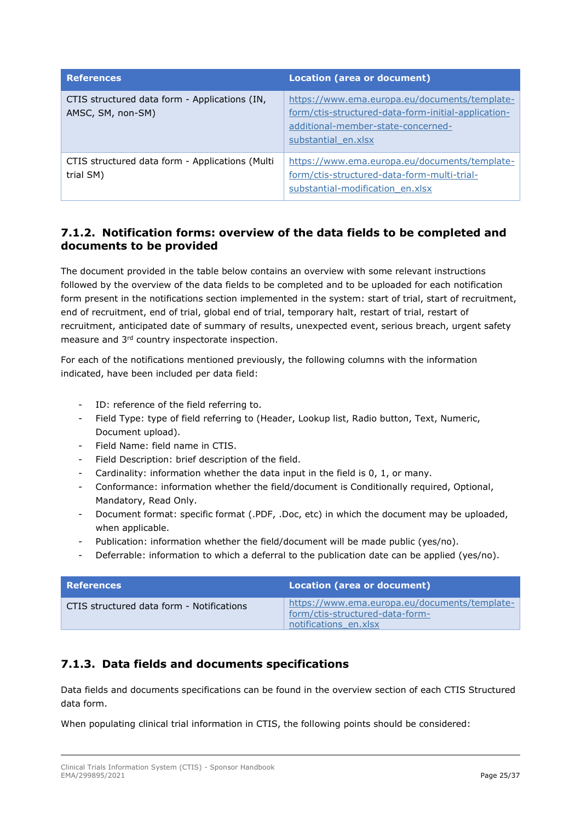| <b>References</b>                                                  | <b>Location (area or document)</b>                                                                                                                                |
|--------------------------------------------------------------------|-------------------------------------------------------------------------------------------------------------------------------------------------------------------|
| CTIS structured data form - Applications (IN,<br>AMSC, SM, non-SM) | https://www.ema.europa.eu/documents/template-<br>form/ctis-structured-data-form-initial-application-<br>additional-member-state-concerned-<br>substantial en.xlsx |
| CTIS structured data form - Applications (Multi<br>trial SM)       | https://www.ema.europa.eu/documents/template-<br>form/ctis-structured-data-form-multi-trial-<br>substantial-modification en.xlsx                                  |

## <span id="page-24-0"></span>**7.1.2. Notification forms: overview of the data fields to be completed and documents to be provided**

The document provided in the table below contains an overview with some relevant instructions followed by the overview of the data fields to be completed and to be uploaded for each notification form present in the notifications section implemented in the system: start of trial, start of recruitment, end of recruitment, end of trial, global end of trial, temporary halt, restart of trial, restart of recruitment, anticipated date of summary of results, unexpected event, serious breach, urgent safety measure and 3rd country inspectorate inspection.

For each of the notifications mentioned previously, the following columns with the information indicated, have been included per data field:

- ID: reference of the field referring to.
- Field Type: type of field referring to (Header, Lookup list, Radio button, Text, Numeric, Document upload).
- Field Name: field name in CTIS.
- Field Description: brief description of the field.
- Cardinality: information whether the data input in the field is 0, 1, or many.
- Conformance: information whether the field/document is Conditionally required, Optional, Mandatory, Read Only.
- Document format: specific format (.PDF, .Doc, etc) in which the document may be uploaded, when applicable.
- Publication: information whether the field/document will be made public (yes/no).
- Deferrable: information to which a deferral to the publication date can be applied (yes/no).

| References                                | Location (area or document)                                                                               |
|-------------------------------------------|-----------------------------------------------------------------------------------------------------------|
| CTIS structured data form - Notifications | https://www.ema.europa.eu/documents/template-<br>form/ctis-structured-data-form-<br>notifications en.xlsx |

# <span id="page-24-1"></span>**7.1.3. Data fields and documents specifications**

Data fields and documents specifications can be found in the overview section of each CTIS Structured data form.

When populating clinical trial information in CTIS, the following points should be considered: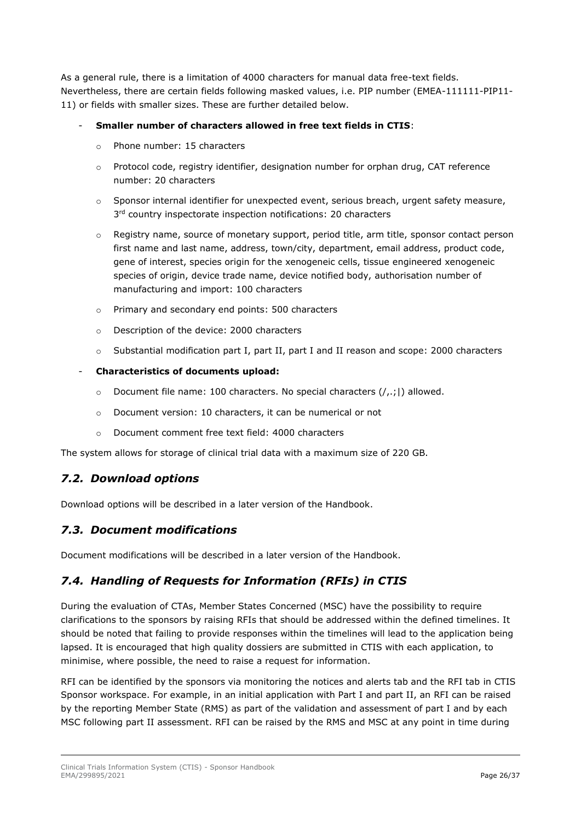As a general rule, there is a limitation of 4000 characters for manual data free-text fields. Nevertheless, there are certain fields following masked values, i.e. PIP number (EMEA-111111-PIP11- 11) or fields with smaller sizes. These are further detailed below.

- **Smaller number of characters allowed in free text fields in CTIS**:
	- o Phone number: 15 characters
	- $\circ$  Protocol code, registry identifier, designation number for orphan drug, CAT reference number: 20 characters
	- o Sponsor internal identifier for unexpected event, serious breach, urgent safety measure, 3<sup>rd</sup> country inspectorate inspection notifications: 20 characters
	- $\circ$  Registry name, source of monetary support, period title, arm title, sponsor contact person first name and last name, address, town/city, department, email address, product code, gene of interest, species origin for the xenogeneic cells, tissue engineered xenogeneic species of origin, device trade name, device notified body, authorisation number of manufacturing and import: 100 characters
	- o Primary and secondary end points: 500 characters
	- o Description of the device: 2000 characters
	- $\circ$  Substantial modification part I, part II, part I and II reason and scope: 2000 characters

#### - **Characteristics of documents upload:**

- $\circ$  Document file name: 100 characters. No special characters ( $\ell$ ..:1) allowed.
- o Document version: 10 characters, it can be numerical or not
- o Document comment free text field: 4000 characters

The system allows for storage of clinical trial data with a maximum size of 220 GB.

#### <span id="page-25-0"></span>*7.2. Download options*

Download options will be described in a later version of the Handbook.

#### <span id="page-25-1"></span>*7.3. Document modifications*

Document modifications will be described in a later version of the Handbook.

#### <span id="page-25-2"></span>*7.4. Handling of Requests for Information (RFIs) in CTIS*

During the evaluation of CTAs, Member States Concerned (MSC) have the possibility to require clarifications to the sponsors by raising RFIs that should be addressed within the defined timelines. It should be noted that failing to provide responses within the timelines will lead to the application being lapsed. It is encouraged that high quality dossiers are submitted in CTIS with each application, to minimise, where possible, the need to raise a request for information.

RFI can be identified by the sponsors via monitoring the notices and alerts tab and the RFI tab in CTIS Sponsor workspace. For example, in an initial application with Part I and part II, an RFI can be raised by the reporting Member State (RMS) as part of the validation and assessment of part I and by each MSC following part II assessment. RFI can be raised by the RMS and MSC at any point in time during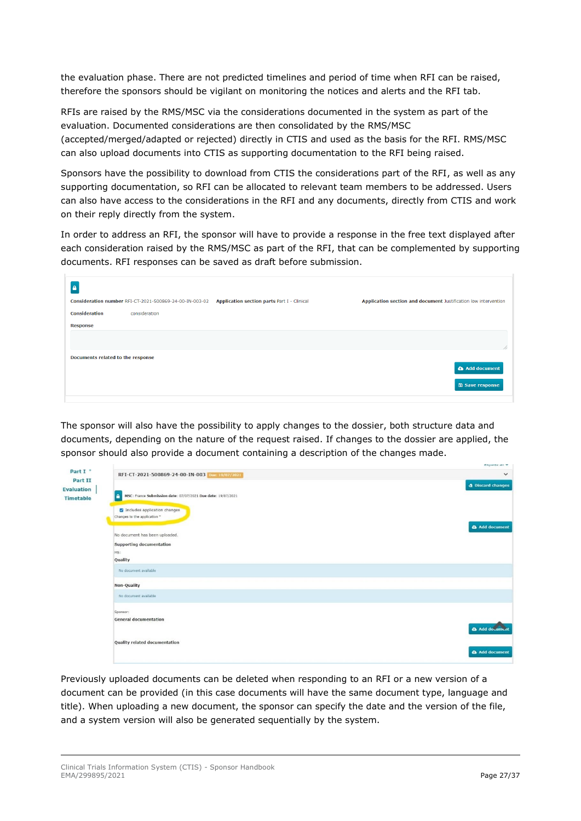the evaluation phase. There are not predicted timelines and period of time when RFI can be raised, therefore the sponsors should be vigilant on monitoring the notices and alerts and the RFI tab.

RFIs are raised by the RMS/MSC via the considerations documented in the system as part of the evaluation. Documented considerations are then consolidated by the RMS/MSC (accepted/merged/adapted or rejected) directly in CTIS and used as the basis for the RFI. RMS/MSC can also upload documents into CTIS as supporting documentation to the RFI being raised.

Sponsors have the possibility to download from CTIS the considerations part of the RFI, as well as any supporting documentation, so RFI can be allocated to relevant team members to be addressed. Users can also have access to the considerations in the RFI and any documents, directly from CTIS and work on their reply directly from the system.

In order to address an RFI, the sponsor will have to provide a response in the free text displayed after each consideration raised by the RMS/MSC as part of the RFI, that can be complemented by supporting documents. RFI responses can be saved as draft before submission.

| Consideration number RFI-CT-2021-500869-24-00-IN-003-02 | Application section parts Part I - Clinical | Application section and document Justification low intervention |
|---------------------------------------------------------|---------------------------------------------|-----------------------------------------------------------------|
| <b>Consideration</b><br>consideration                   |                                             |                                                                 |
| <b>Response</b>                                         |                                             |                                                                 |
|                                                         |                                             |                                                                 |
| Documents related to the response                       |                                             | //<br>Add document                                              |
|                                                         |                                             | 8 Save response                                                 |

The sponsor will also have the possibility to apply changes to the dossier, both structure data and documents, depending on the nature of the request raised. If changes to the dossier are applied, the sponsor should also provide a document containing a description of the changes made.

|                                       |                                                                   | ryhann an +                     |
|---------------------------------------|-------------------------------------------------------------------|---------------------------------|
| Part I *<br>Part II                   | RFI-CT-2021-500869-24-00-IN-003 Due: 19/07/2021                   | $\check{~}$                     |
| <b>Evaluation</b><br><b>Timetable</b> | MSC: France Submission date: 07/07/2021 Due date: 19/07/2021<br>٠ | <b><i>A</i></b> Discard changes |
|                                       | Includes application changes<br>Changes to the application *      |                                 |
|                                       | No document has been uploaded.                                    | Add document                    |
|                                       | <b>Supporting documentation</b>                                   |                                 |
|                                       | MS:                                                               |                                 |
|                                       | Quality                                                           |                                 |
|                                       | No document available                                             |                                 |
|                                       | Non-Quality                                                       |                                 |
|                                       | No document available                                             |                                 |
|                                       | Sponsor:                                                          |                                 |
|                                       | <b>General documentation</b>                                      | Add document                    |
|                                       | Quality related documentation                                     | <b>a</b> Add document           |
|                                       |                                                                   |                                 |

Previously uploaded documents can be deleted when responding to an RFI or a new version of a document can be provided (in this case documents will have the same document type, language and title). When uploading a new document, the sponsor can specify the date and the version of the file, and a system version will also be generated sequentially by the system.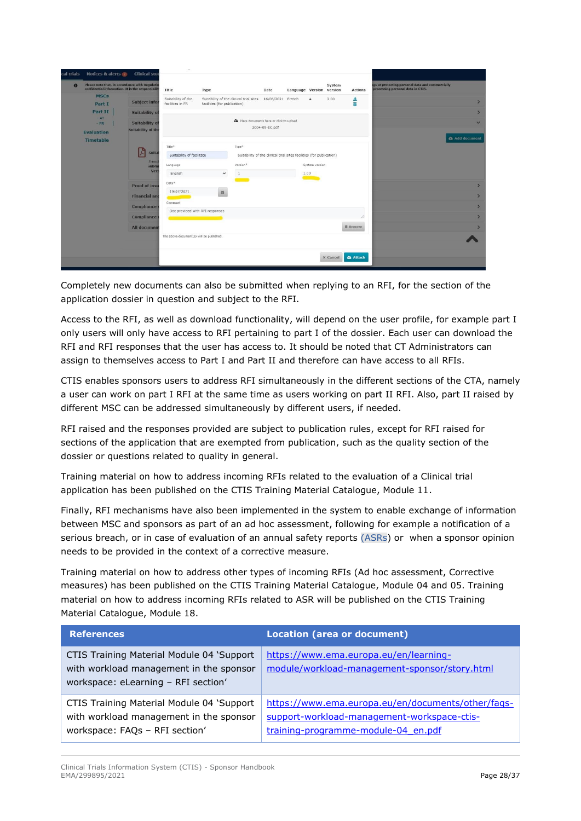| cal trials  | Notices & alerts (2)                                                                                 | <b>Clinical stud</b>                           | $\sim$                                                        |                              |                                                                                                                         |                |                          |                |          |                 |                                                                                       |
|-------------|------------------------------------------------------------------------------------------------------|------------------------------------------------|---------------------------------------------------------------|------------------------------|-------------------------------------------------------------------------------------------------------------------------|----------------|--------------------------|----------------|----------|-----------------|---------------------------------------------------------------------------------------|
| $\mathbf o$ | Please note that, in accordance with Regulation<br>confidential information. It is the responsibilit |                                                | Title                                                         | Type                         |                                                                                                                         | Date           | Language Version version |                | System   | <b>Actions</b>  | igs at protecting personal data and commercially<br>processing personal data in CTIS. |
|             | <b>MSCs</b><br>Part I<br>Part II                                                                     | <b>Subject infor</b><br><b>Suitability of</b>  | Suitability of the<br>facilities in FR                        | facilities (for publication) | Suitability of the clinical trial sites 16/06/2021 French                                                               |                |                          | 4              | 2.00     | 击<br>ū          | $\overline{ }$<br>$\rightarrow$                                                       |
|             | $-AT$<br>$-FR$<br><b>Evaluation</b>                                                                  | <b>Suitability of</b><br>Suitability of the    |                                                               |                              | Place documents here or click to upload                                                                                 | 2004-09-EC.pdf |                          |                |          |                 | $\checkmark$<br><b>C</b> Add document                                                 |
|             | <b>Timetable</b>                                                                                     | 卢<br>Suita<br>French<br><b>Submi</b><br>- Vers | $Title^*$<br>Suitability of facilitate<br>Language<br>English | $\check{~}$                  | Type <sup>x</sup><br>Suitability of the clinical trial sites facilities (for publication)<br>Version*<br>$\overline{1}$ |                | 1.00                     | System version |          |                 |                                                                                       |
|             |                                                                                                      | <b>Proof of insu</b><br><b>Financial and</b>   | Date <sup>*</sup><br>19/07/2021                               | 盖                            |                                                                                                                         |                |                          |                |          |                 | $\rightarrow$<br>$\rightarrow$                                                        |
|             |                                                                                                      | <b>Compliance</b>                              | Comment<br>Doc provided with RFI responses                    |                              |                                                                                                                         |                |                          |                |          |                 | $\rightarrow$<br>$\overline{ }$                                                       |
|             |                                                                                                      | <b>Compliance</b><br>All document              |                                                               |                              |                                                                                                                         |                |                          |                |          | <b>B</b> Remove |                                                                                       |
|             |                                                                                                      |                                                | The above document(s) will be published.                      |                              |                                                                                                                         |                |                          |                |          |                 |                                                                                       |
|             |                                                                                                      |                                                |                                                               |                              |                                                                                                                         |                |                          |                | x Cancel | <b>Attach</b>   |                                                                                       |

Completely new documents can also be submitted when replying to an RFI, for the section of the application dossier in question and subject to the RFI.

Access to the RFI, as well as download functionality, will depend on the user profile, for example part I only users will only have access to RFI pertaining to part I of the dossier. Each user can download the RFI and RFI responses that the user has access to. It should be noted that CT Administrators can assign to themselves access to Part I and Part II and therefore can have access to all RFIs.

CTIS enables sponsors users to address RFI simultaneously in the different sections of the CTA, namely a user can work on part I RFI at the same time as users working on part II RFI. Also, part II raised by different MSC can be addressed simultaneously by different users, if needed.

RFI raised and the responses provided are subject to publication rules, except for RFI raised for sections of the application that are exempted from publication, such as the quality section of the dossier or questions related to quality in general.

Training material on how to address incoming RFIs related to the evaluation of a Clinical trial application has been published on the CTIS Training Material Catalogue, Module 11.

Finally, RFI mechanisms have also been implemented in the system to enable exchange of information between MSC and sponsors as part of an ad hoc assessment, following for example a notification of a serious breach, or in case of evaluation of an annual safety reports (ASRs) or when a sponsor opinion needs to be provided in the context of a corrective measure.

Training material on how to address other types of incoming RFIs (Ad hoc assessment, Corrective measures) has been published on the CTIS Training Material Catalogue, Module 04 and 05. Training material on how to address incoming RFIs related to ASR will be published on the CTIS Training Material Catalogue, Module 18.

| <b>References</b>                                                                                                           | <b>Location (area or document)</b>                                                                                                       |
|-----------------------------------------------------------------------------------------------------------------------------|------------------------------------------------------------------------------------------------------------------------------------------|
| CTIS Training Material Module 04 'Support<br>with workload management in the sponsor<br>workspace: eLearning - RFI section' | https://www.ema.europa.eu/en/learning-<br>module/workload-management-sponsor/story.html                                                  |
| CTIS Training Material Module 04 'Support<br>with workload management in the sponsor<br>workspace: FAQs - RFI section'      | https://www.ema.europa.eu/en/documents/other/fags-<br>support-workload-management-workspace-ctis-<br>training-programme-module-04 en.pdf |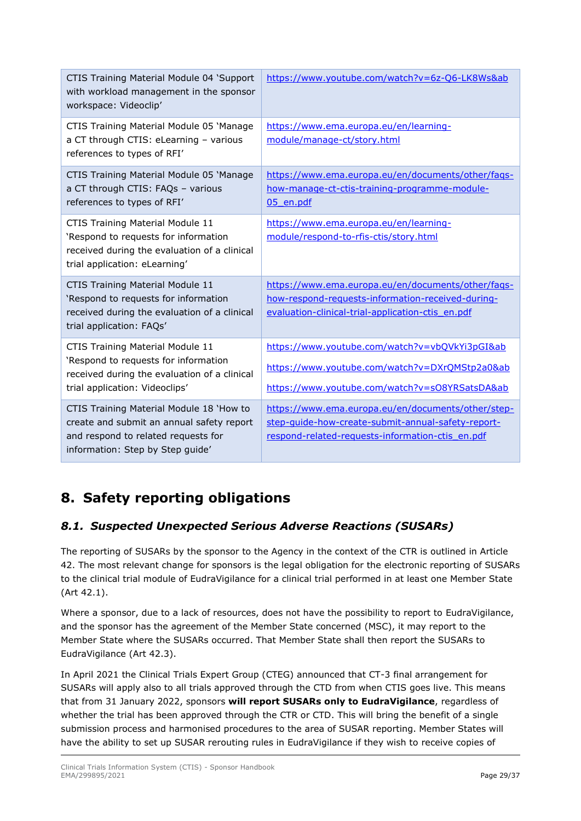| CTIS Training Material Module 04 'Support<br>with workload management in the sponsor<br>workspace: Videoclip'                                                    | https://www.youtube.com/watch?v=6z-Q6-LK8Ws&ab                                                                                                               |
|------------------------------------------------------------------------------------------------------------------------------------------------------------------|--------------------------------------------------------------------------------------------------------------------------------------------------------------|
| CTIS Training Material Module 05 'Manage<br>a CT through CTIS: eLearning - various<br>references to types of RFI'                                                | https://www.ema.europa.eu/en/learning-<br>module/manage-ct/story.html                                                                                        |
| CTIS Training Material Module 05 'Manage<br>a CT through CTIS: FAQs - various<br>references to types of RFI'                                                     | https://www.ema.europa.eu/en/documents/other/fags-<br>how-manage-ct-ctis-training-programme-module-<br>05 en.pdf                                             |
| CTIS Training Material Module 11<br>'Respond to requests for information<br>received during the evaluation of a clinical<br>trial application: eLearning'        | https://www.ema.europa.eu/en/learning-<br>module/respond-to-rfis-ctis/story.html                                                                             |
| CTIS Training Material Module 11<br>'Respond to requests for information<br>received during the evaluation of a clinical<br>trial application: FAQs'             | https://www.ema.europa.eu/en/documents/other/fags-<br>how-respond-requests-information-received-during-<br>evaluation-clinical-trial-application-ctis_en.pdf |
| CTIS Training Material Module 11<br>'Respond to requests for information<br>received during the evaluation of a clinical<br>trial application: Videoclips'       | https://www.youtube.com/watch?v=vbQVkYi3pGI&ab<br>https://www.youtube.com/watch?v=DXrQMStp2a0&ab<br>https://www.youtube.com/watch?v=sO8YRSatsDA&ab           |
| CTIS Training Material Module 18 'How to<br>create and submit an annual safety report<br>and respond to related requests for<br>information: Step by Step guide' | https://www.ema.europa.eu/en/documents/other/step-<br>step-quide-how-create-submit-annual-safety-report-<br>respond-related-requests-information-ctis_en.pdf |

# <span id="page-28-0"></span>**8. Safety reporting obligations**

# <span id="page-28-1"></span>*8.1. Suspected Unexpected Serious Adverse Reactions (SUSARs)*

The reporting of SUSARs by the sponsor to the Agency in the context of the CTR is outlined in Article 42. The most relevant change for sponsors is the legal obligation for the electronic reporting of SUSARs to the clinical trial module of EudraVigilance for a clinical trial performed in at least one Member State (Art 42.1).

Where a sponsor, due to a lack of resources, does not have the possibility to report to EudraVigilance, and the sponsor has the agreement of the Member State concerned (MSC), it may report to the Member State where the SUSARs occurred. That Member State shall then report the SUSARs to EudraVigilance (Art 42.3).

In April 2021 the Clinical Trials Expert Group (CTEG) announced that CT-3 final arrangement for SUSARs will apply also to all trials approved through the CTD from when CTIS goes live. This means that from 31 January 2022, sponsors **will report SUSARs only to EudraVigilance**, regardless of whether the trial has been approved through the CTR or CTD. This will bring the benefit of a single submission process and harmonised procedures to the area of SUSAR reporting. Member States will have the ability to set up SUSAR rerouting rules in EudraVigilance if they wish to receive copies of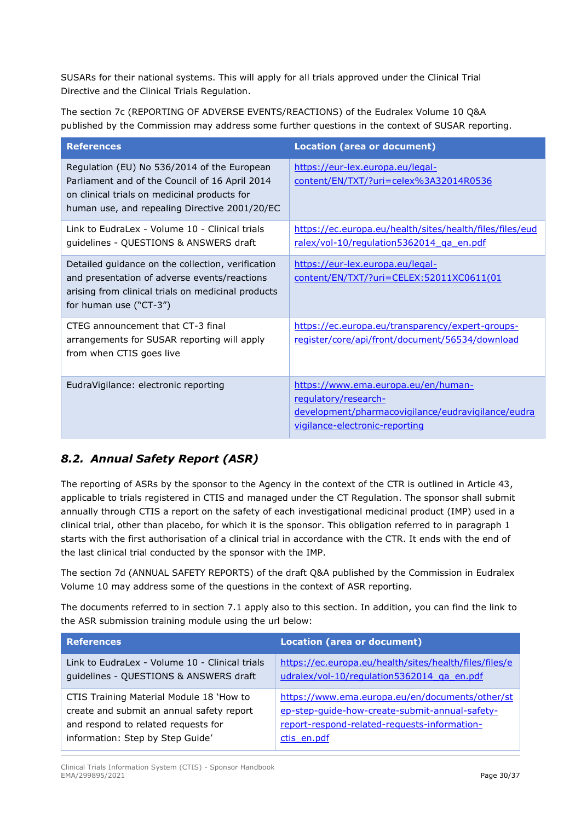SUSARs for their national systems. This will apply for all trials approved under the Clinical Trial Directive and the Clinical Trials Regulation.

The section 7c (REPORTING OF ADVERSE EVENTS/REACTIONS) of the Eudralex Volume 10 Q&A published by the Commission may address some further questions in the context of SUSAR reporting.

| <b>References</b>                                                                                                                                                                              | <b>Location (area or document)</b>                                                                                                                  |
|------------------------------------------------------------------------------------------------------------------------------------------------------------------------------------------------|-----------------------------------------------------------------------------------------------------------------------------------------------------|
| Regulation (EU) No 536/2014 of the European<br>Parliament and of the Council of 16 April 2014<br>on clinical trials on medicinal products for<br>human use, and repealing Directive 2001/20/EC | https://eur-lex.europa.eu/legal-<br>content/EN/TXT/?uri=celex%3A32014R0536                                                                          |
| Link to EudraLex - Volume 10 - Clinical trials<br>guidelines - QUESTIONS & ANSWERS draft                                                                                                       | https://ec.europa.eu/health/sites/health/files/files/eud<br>ralex/vol-10/regulation5362014 ga en.pdf                                                |
| Detailed guidance on the collection, verification<br>and presentation of adverse events/reactions<br>arising from clinical trials on medicinal products<br>for human use ("CT-3")              | https://eur-lex.europa.eu/legal-<br>content/EN/TXT/?uri=CELEX:52011XC0611(01                                                                        |
| CTEG announcement that CT-3 final<br>arrangements for SUSAR reporting will apply<br>from when CTIS goes live                                                                                   | https://ec.europa.eu/transparency/expert-groups-<br>register/core/api/front/document/56534/download                                                 |
| EudraVigilance: electronic reporting                                                                                                                                                           | https://www.ema.europa.eu/en/human-<br>requlatory/research-<br>development/pharmacovigilance/eudravigilance/eudra<br>vigilance-electronic-reporting |

# <span id="page-29-0"></span>*8.2. Annual Safety Report (ASR)*

The reporting of ASRs by the sponsor to the Agency in the context of the CTR is outlined in Article 43, applicable to trials registered in CTIS and managed under the CT Regulation. The sponsor shall submit annually through CTIS a report on the safety of each investigational medicinal product (IMP) used in a clinical trial, other than placebo, for which it is the sponsor. This obligation referred to in paragraph 1 starts with the first authorisation of a clinical trial in accordance with the CTR. It ends with the end of the last clinical trial conducted by the sponsor with the IMP.

The section 7d (ANNUAL SAFETY REPORTS) of the draft Q&A published by the Commission in Eudralex Volume 10 may address some of the questions in the context of ASR reporting.

The documents referred to in section 7.1 apply also to this section. In addition, you can find the link to the ASR submission training module using the url below:

| <b>References</b>                              | <b>Location (area or document)</b>                     |
|------------------------------------------------|--------------------------------------------------------|
| Link to EudraLex - Volume 10 - Clinical trials | https://ec.europa.eu/health/sites/health/files/files/e |
| quidelines - QUESTIONS & ANSWERS draft         | udralex/vol-10/regulation5362014 ga en.pdf             |
| CTIS Training Material Module 18 'How to       | https://www.ema.europa.eu/en/documents/other/st        |
| create and submit an annual safety report      | ep-step-quide-how-create-submit-annual-safety-         |
| and respond to related requests for            | report-respond-related-requests-information-           |
| information: Step by Step Guide'               | ctis en.pdf                                            |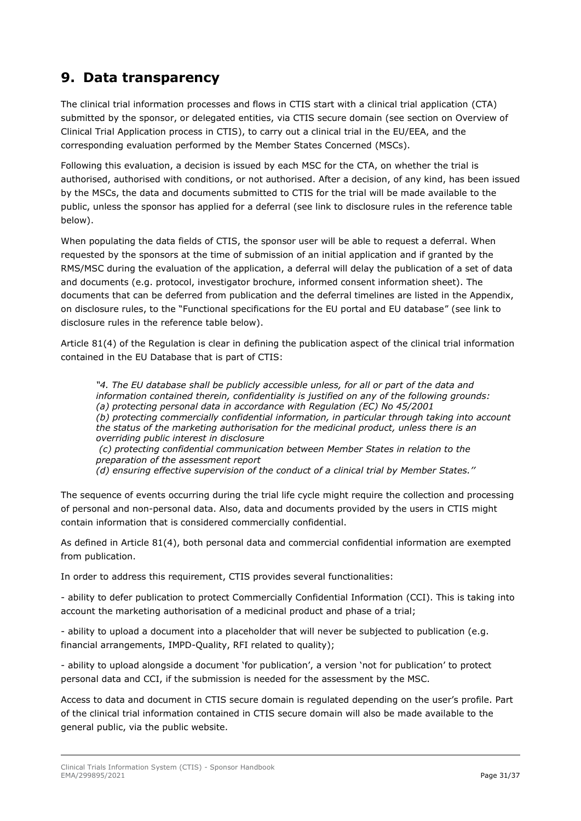# <span id="page-30-0"></span>**9. Data transparency**

The clinical trial information processes and flows in CTIS start with a clinical trial application (CTA) submitted by the sponsor, or delegated entities, via CTIS secure domain (see section on Overview of Clinical Trial Application process in CTIS), to carry out a clinical trial in the EU/EEA, and the corresponding evaluation performed by the Member States Concerned (MSCs).

Following this evaluation, a decision is issued by each MSC for the CTA, on whether the trial is authorised, authorised with conditions, or not authorised. After a decision, of any kind, has been issued by the MSCs, the data and documents submitted to CTIS for the trial will be made available to the public, unless the sponsor has applied for a deferral (see link to disclosure rules in the reference table below).

When populating the data fields of CTIS, the sponsor user will be able to request a deferral. When requested by the sponsors at the time of submission of an initial application and if granted by the RMS/MSC during the evaluation of the application, a deferral will delay the publication of a set of data and documents (e.g. protocol, investigator brochure, informed consent information sheet). The documents that can be deferred from publication and the deferral timelines are listed in the Appendix, on disclosure rules, to the "Functional specifications for the EU portal and EU database" (see link to disclosure rules in the reference table below).

Article 81(4) of the Regulation is clear in defining the publication aspect of the clinical trial information contained in the EU Database that is part of CTIS:

"4. The EU database shall be publicly accessible unless, for all or part of the data and *information contained therein, confidentiality is justified on any of the following grounds: (a) protecting personal data in accordance with Regulation (EC) No 45/2001 (b) protecting commercially confidential information, in particular through taking into account the status of the marketing authorisation for the medicinal product, unless there is an overriding public interest in disclosure*

*(c) protecting confidential communication between Member States in relation to the preparation of the assessment report*

*(d) ensuring effective supervision of the conduct of a clinical trial by Member States.''*

The sequence of events occurring during the trial life cycle might require the collection and processing of personal and non-personal data. Also, data and documents provided by the users in CTIS might contain information that is considered commercially confidential.

As defined in Article 81(4), both personal data and commercial confidential information are exempted from publication.

In order to address this requirement, CTIS provides several functionalities:

- ability to defer publication to protect Commercially Confidential Information (CCI). This is taking into account the marketing authorisation of a medicinal product and phase of a trial;

- ability to upload a document into a placeholder that will never be subjected to publication (e.g. financial arrangements, IMPD-Quality, RFI related to quality);

- ability to upload alongside a document 'for publication', a version 'not for publication' to protect personal data and CCI, if the submission is needed for the assessment by the MSC.

Access to data and document in CTIS secure domain is regulated depending on the user's profile. Part of the clinical trial information contained in CTIS secure domain will also be made available to the general public, via the public website.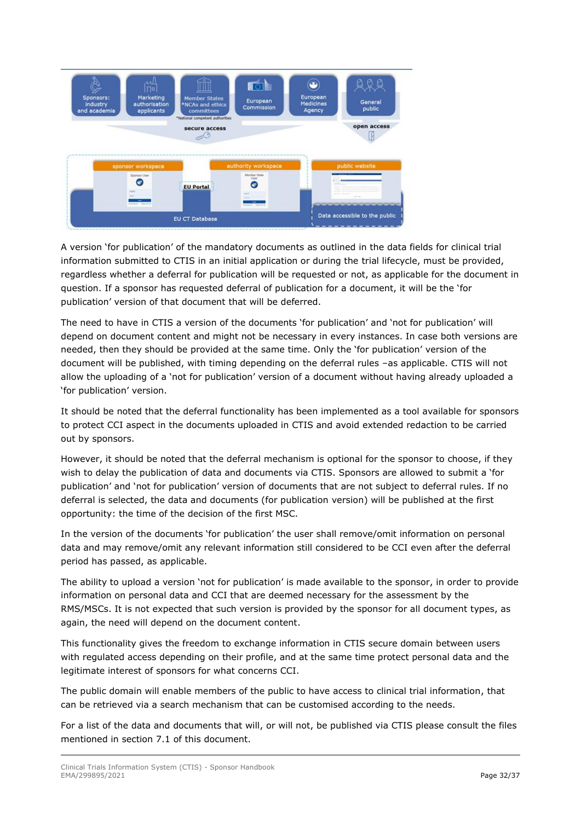

A version 'for publication' of the mandatory documents as outlined in the data fields for clinical trial information submitted to CTIS in an initial application or during the trial lifecycle, must be provided, regardless whether a deferral for publication will be requested or not, as applicable for the document in question. If a sponsor has requested deferral of publication for a document, it will be the 'for publication' version of that document that will be deferred.

The need to have in CTIS a version of the documents 'for publication' and 'not for publication' will depend on document content and might not be necessary in every instances. In case both versions are needed, then they should be provided at the same time. Only the 'for publication' version of the document will be published, with timing depending on the deferral rules –as applicable. CTIS will not allow the uploading of a 'not for publication' version of a document without having already uploaded a 'for publication' version.

It should be noted that the deferral functionality has been implemented as a tool available for sponsors to protect CCI aspect in the documents uploaded in CTIS and avoid extended redaction to be carried out by sponsors.

However, it should be noted that the deferral mechanism is optional for the sponsor to choose, if they wish to delay the publication of data and documents via CTIS. Sponsors are allowed to submit a 'for publication' and 'not for publication' version of documents that are not subject to deferral rules. If no deferral is selected, the data and documents (for publication version) will be published at the first opportunity: the time of the decision of the first MSC.

In the version of the documents 'for publication' the user shall remove/omit information on personal data and may remove/omit any relevant information still considered to be CCI even after the deferral period has passed, as applicable.

The ability to upload a version 'not for publication' is made available to the sponsor, in order to provide information on personal data and CCI that are deemed necessary for the assessment by the RMS/MSCs. It is not expected that such version is provided by the sponsor for all document types, as again, the need will depend on the document content.

This functionality gives the freedom to exchange information in CTIS secure domain between users with regulated access depending on their profile, and at the same time protect personal data and the legitimate interest of sponsors for what concerns CCI.

The public domain will enable members of the public to have access to clinical trial information, that can be retrieved via a search mechanism that can be customised according to the needs.

For a list of the data and documents that will, or will not, be published via CTIS please consult the files mentioned in section 7.1 of this document.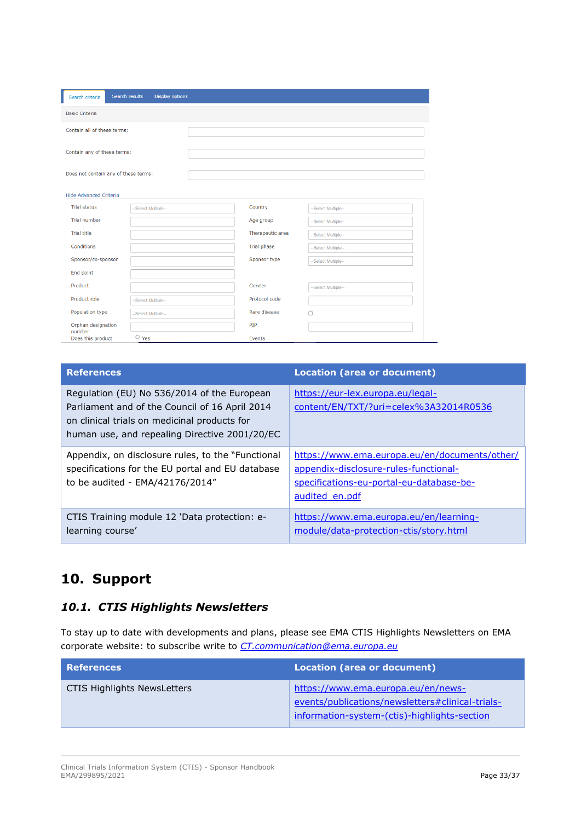| Search results<br>Search criteria    | <b>Display options</b> |                    |                     |
|--------------------------------------|------------------------|--------------------|---------------------|
| <b>Basic Criteria</b>                |                        |                    |                     |
| Contain all of these terms:          |                        |                    |                     |
| Contain any of these terms:          |                        |                    |                     |
| Does not contain any of these terms: |                        |                    |                     |
| <b>Hide Advanced Criteria</b>        |                        |                    |                     |
| <b>Trial status</b>                  | --Select Multiple--    | Country            | --Select Multiple-- |
| Trial number                         |                        | Age group          | --Select Multiple-- |
| <b>Trial title</b>                   |                        | Therapeutic area   | -Select Multiple--  |
| Conditions                           |                        | <b>Trial phase</b> | --Select Multiple-- |
| Sponsor/co-sponsor                   |                        | Sponsor type       | --Select Multiple-- |
| End point                            |                        |                    |                     |
| Product                              |                        | Gender             | --Select Multiple-- |
| Product role                         | --Select Multiple--    | Protocol code      |                     |
| Population type                      | --Select Multiple--    | Rare disease       | $\Box$              |
| Orphan designation<br>number         |                        | PIP                |                     |
| Does this product                    | $\circ$ Yes            | Events             |                     |

| <b>References</b>                                                                                                                                                                              | <b>Location (area or document)</b>                                                                                                                   |
|------------------------------------------------------------------------------------------------------------------------------------------------------------------------------------------------|------------------------------------------------------------------------------------------------------------------------------------------------------|
| Regulation (EU) No 536/2014 of the European<br>Parliament and of the Council of 16 April 2014<br>on clinical trials on medicinal products for<br>human use, and repealing Directive 2001/20/EC | https://eur-lex.europa.eu/legal-<br>content/EN/TXT/?uri=celex%3A32014R0536                                                                           |
| Appendix, on disclosure rules, to the "Functional<br>specifications for the EU portal and EU database<br>to be audited - EMA/42176/2014"                                                       | https://www.ema.europa.eu/en/documents/other/<br>appendix-disclosure-rules-functional-<br>specifications-eu-portal-eu-database-be-<br>audited en.pdf |
| CTIS Training module 12 'Data protection: e-<br>learning course'                                                                                                                               | https://www.ema.europa.eu/en/learning-<br>module/data-protection-ctis/story.html                                                                     |

# <span id="page-32-0"></span>**10. Support**

# <span id="page-32-1"></span>*10.1. CTIS Highlights Newsletters*

To stay up to date with developments and plans, please see EMA CTIS Highlights Newsletters on EMA corporate website: to subscribe write to *[CT.communication@ema.europa.eu](mailto:CT.communication@ema.europa.eu)*

| <b>References</b>                  | Location (area or document)                                                            |
|------------------------------------|----------------------------------------------------------------------------------------|
| <b>CTIS Highlights NewsLetters</b> | https://www.ema.europa.eu/en/news-<br>events/publications/newsletters#clinical-trials- |
|                                    | information-system-(ctis)-highlights-section                                           |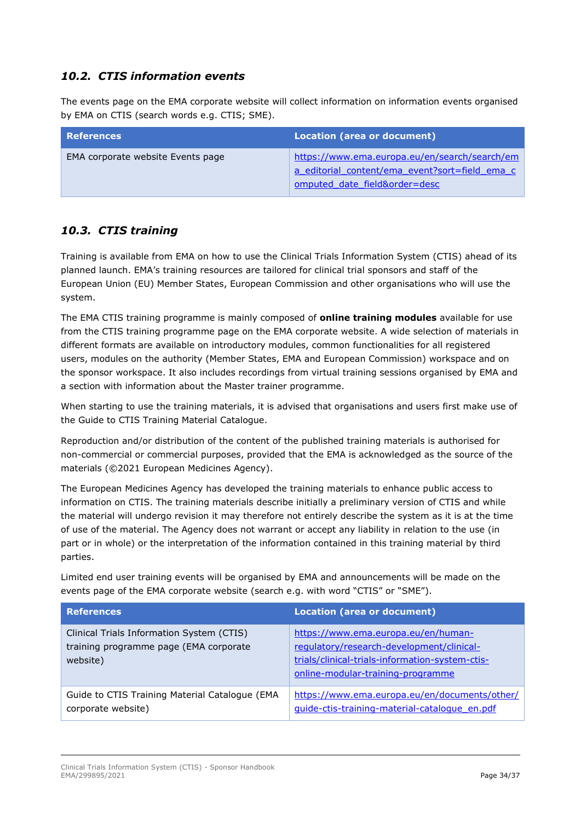## <span id="page-33-0"></span>*10.2. CTIS information events*

The events page on the EMA corporate website will collect information on information events organised by EMA on CTIS (search words e.g. CTIS; SME).

| References                        | Location (area or document)                                                                                                 |
|-----------------------------------|-----------------------------------------------------------------------------------------------------------------------------|
| EMA corporate website Events page | https://www.ema.europa.eu/en/search/search/em<br>a editorial content/ema event?sort=field ema c<br>omputed date fieldℴ=desc |

## <span id="page-33-1"></span>*10.3. CTIS training*

Training is available from EMA on how to use the Clinical Trials Information System (CTIS) ahead of its planned launch. EMA's training resources are tailored for clinical trial sponsors and staff of the European Union (EU) Member States, European Commission and other organisations who will use the system.

The EMA CTIS training programme is mainly composed of **online training modules** available for use from the CTIS training programme page on the EMA corporate website. A wide selection of materials in different formats are available on introductory modules, common functionalities for all registered users, modules on the authority (Member States, EMA and European Commission) workspace and on the sponsor workspace. It also includes recordings from virtual training sessions organised by EMA and a section with information about the Master trainer programme.

When starting to use the training materials, it is advised that organisations and users first make use of the Guide to CTIS Training Material Catalogue.

Reproduction and/or distribution of the content of the published training materials is authorised for non-commercial or commercial purposes, provided that the EMA is acknowledged as the source of the materials (©2021 European Medicines Agency).

The European Medicines Agency has developed the training materials to enhance public access to information on CTIS. The training materials describe initially a preliminary version of CTIS and while the material will undergo revision it may therefore not entirely describe the system as it is at the time of use of the material. The Agency does not warrant or accept any liability in relation to the use (in part or in whole) or the interpretation of the information contained in this training material by third parties.

Limited end user training events will be organised by EMA and announcements will be made on the events page of the EMA corporate website (search e.g. with word "CTIS" or "SME").

| <b>References</b>                                                                               | <b>Location (area or document)</b>                                                                                                                                       |
|-------------------------------------------------------------------------------------------------|--------------------------------------------------------------------------------------------------------------------------------------------------------------------------|
| Clinical Trials Information System (CTIS)<br>training programme page (EMA corporate<br>website) | https://www.ema.europa.eu/en/human-<br>requlatory/research-development/clinical-<br>trials/clinical-trials-information-system-ctis-<br>online-modular-training-programme |
| Guide to CTIS Training Material Catalogue (EMA<br>corporate website)                            | https://www.ema.europa.eu/en/documents/other/<br>guide-ctis-training-material-catalogue en.pdf                                                                           |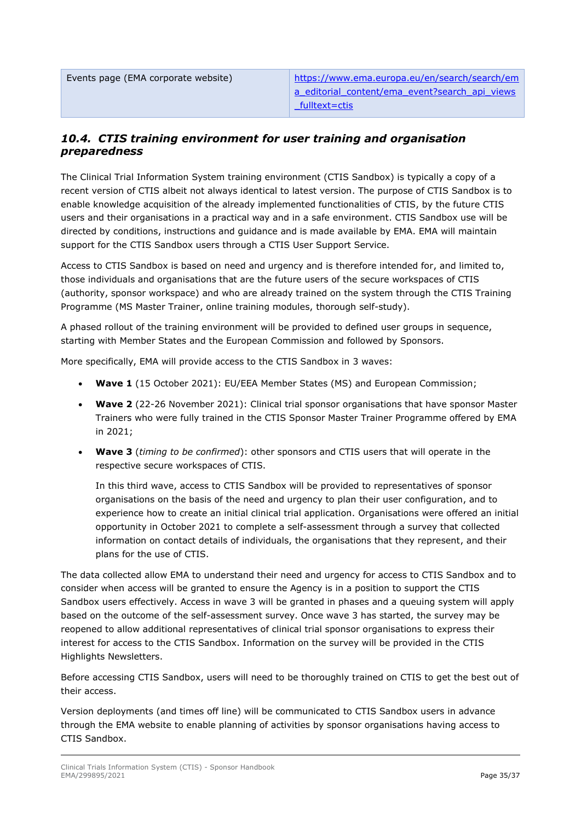| Events page (EMA corporate website) | https://www.ema.europa.eu/en/search/search/em                   |  |
|-------------------------------------|-----------------------------------------------------------------|--|
|                                     | a editorial content/ema event?search api views<br>fulltext=ctis |  |
|                                     |                                                                 |  |

## <span id="page-34-0"></span>*10.4. CTIS training environment for user training and organisation preparedness*

The Clinical Trial Information System training environment (CTIS Sandbox) is typically a copy of a recent version of CTIS albeit not always identical to latest version. The purpose of CTIS Sandbox is to enable knowledge acquisition of the already implemented functionalities of CTIS, by the future CTIS users and their organisations in a practical way and in a safe environment. CTIS Sandbox use will be directed by conditions, instructions and guidance and is made available by EMA. EMA will maintain support for the CTIS Sandbox users through a CTIS User Support Service.

Access to CTIS Sandbox is based on need and urgency and is therefore intended for, and limited to, those individuals and organisations that are the future users of the secure workspaces of CTIS (authority, sponsor workspace) and who are already trained on the system through the CTIS Training Programme (MS Master Trainer, online training modules, thorough self-study).

A phased rollout of the training environment will be provided to defined user groups in sequence, starting with Member States and the European Commission and followed by Sponsors.

More specifically, EMA will provide access to the CTIS Sandbox in 3 waves:

- **Wave 1** (15 October 2021): EU/EEA Member States (MS) and European Commission;
- **Wave 2** (22-26 November 2021): Clinical trial sponsor organisations that have sponsor Master Trainers who were fully trained in the CTIS Sponsor Master Trainer Programme offered by EMA in 2021;
- **Wave 3** (*timing to be confirmed*): other sponsors and CTIS users that will operate in the respective secure workspaces of CTIS.

In this third wave, access to CTIS Sandbox will be provided to representatives of sponsor organisations on the basis of the need and urgency to plan their user configuration, and to experience how to create an initial clinical trial application. Organisations were offered an initial opportunity in October 2021 to complete a self-assessment through a survey that collected information on contact details of individuals, the organisations that they represent, and their plans for the use of CTIS.

The data collected allow EMA to understand their need and urgency for access to CTIS Sandbox and to consider when access will be granted to ensure the Agency is in a position to support the CTIS Sandbox users effectively. Access in wave 3 will be granted in phases and a queuing system will apply based on the outcome of the self-assessment survey. Once wave 3 has started, the survey may be reopened to allow additional representatives of clinical trial sponsor organisations to express their interest for access to the CTIS Sandbox. Information on the survey will be provided in the CTIS Highlights Newsletters.

Before accessing CTIS Sandbox, users will need to be thoroughly trained on CTIS to get the best out of their access.

Version deployments (and times off line) will be communicated to CTIS Sandbox users in advance through the EMA website to enable planning of activities by sponsor organisations having access to CTIS Sandbox.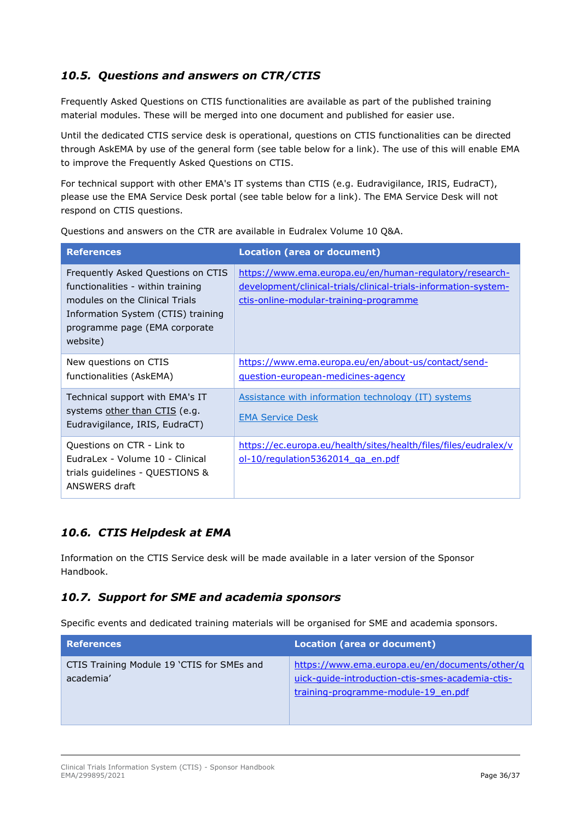# <span id="page-35-0"></span>*10.5. Questions and answers on CTR/CTIS*

Frequently Asked Questions on CTIS functionalities are available as part of the published training material modules. These will be merged into one document and published for easier use.

Until the dedicated CTIS service desk is operational, questions on CTIS functionalities can be directed through AskEMA by use of the general form (see table below for a link). The use of this will enable EMA to improve the Frequently Asked Questions on CTIS.

For technical support with other EMA's IT systems than CTIS (e.g. Eudravigilance, IRIS, EudraCT), please use the EMA Service Desk portal (see table below for a link). The EMA Service Desk will not respond on CTIS questions.

| <b>References</b>                                                                                                                                                                            | <b>Location (area or document)</b>                                                                                                                                   |
|----------------------------------------------------------------------------------------------------------------------------------------------------------------------------------------------|----------------------------------------------------------------------------------------------------------------------------------------------------------------------|
| Frequently Asked Questions on CTIS<br>functionalities - within training<br>modules on the Clinical Trials<br>Information System (CTIS) training<br>programme page (EMA corporate<br>website) | https://www.ema.europa.eu/en/human-regulatory/research-<br>development/clinical-trials/clinical-trials-information-system-<br>ctis-online-modular-training-programme |
| New questions on CTIS<br>functionalities (AskEMA)                                                                                                                                            | https://www.ema.europa.eu/en/about-us/contact/send-<br><u>question-european-medicines-agency</u>                                                                     |
| Technical support with EMA's IT<br>systems other than CTIS (e.g.<br>Eudravigilance, IRIS, EudraCT)                                                                                           | Assistance with information technology (IT) systems<br><b>EMA Service Desk</b>                                                                                       |
| Questions on CTR - Link to<br>EudraLex - Volume 10 - Clinical<br>trials guidelines - QUESTIONS &<br>ANSWERS draft                                                                            | https://ec.europa.eu/health/sites/health/files/files/eudralex/v<br>ol-10/regulation5362014 ga en.pdf                                                                 |

Questions and answers on the CTR are available in Eudralex Volume 10 Q&A.

# <span id="page-35-1"></span>*10.6. CTIS Helpdesk at EMA*

Information on the CTIS Service desk will be made available in a later version of the Sponsor Handbook.

# <span id="page-35-2"></span>*10.7. Support for SME and academia sponsors*

Specific events and dedicated training materials will be organised for SME and academia sponsors.

| <b>References</b>                                       | <b>Location (area or document)</b>                                                                                                        |
|---------------------------------------------------------|-------------------------------------------------------------------------------------------------------------------------------------------|
| CTIS Training Module 19 'CTIS for SMEs and<br>academia' | https://www.ema.europa.eu/en/documents/other/g<br>uick-quide-introduction-ctis-smes-academia-ctis-<br>training-programme-module-19 en.pdf |